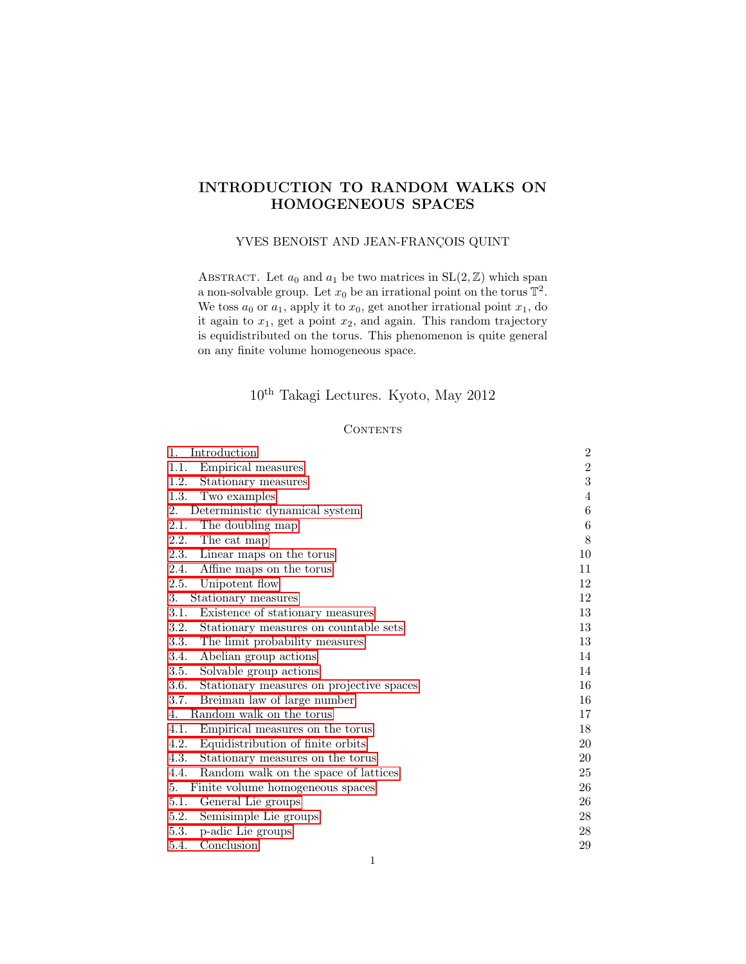# INTRODUCTION TO RANDOM WALKS ON HOMOGENEOUS SPACES

### YVES BENOIST AND JEAN-FRANÇOIS QUINT

ABSTRACT. Let  $a_0$  and  $a_1$  be two matrices in  $SL(2, \mathbb{Z})$  which span a non-solvable group. Let  $x_0$  be an irrational point on the torus  $\mathbb{T}^2$ . We toss  $a_0$  or  $a_1$ , apply it to  $x_0$ , get another irrational point  $x_1$ , do it again to  $x_1$ , get a point  $x_2$ , and again. This random trajectory is equidistributed on the torus. This phenomenon is quite general on any finite volume homogeneous space.

# $10^{\text{th}}$ Takagi Lectures. Kyoto, May 2012

### **CONTENTS**

| Introduction<br>1.                               | $\overline{2}$   |
|--------------------------------------------------|------------------|
| Empirical measures<br>1.1.                       | $\,2$            |
| 1.2.<br>Stationary measures                      | 3                |
| 1.3.<br>Two examples                             | $\overline{4}$   |
| 2.<br>Deterministic dynamical system             | $\,6$            |
| The doubling map<br>2.1.                         | $\boldsymbol{6}$ |
| 2.2.<br>The cat map                              | 8                |
| 2.3.<br>Linear maps on the torus                 | 10               |
| 2.4.<br>Affine maps on the torus                 | 11               |
| Unipotent flow<br>2.5.                           | 12               |
| 3.<br>Stationary measures                        | 12               |
| Existence of stationary measures<br>3.1.         | 13               |
| 3.2.<br>Stationary measures on countable sets    | 13               |
| 3.3.<br>The limit probability measures           | 13               |
| Abelian group actions<br>3.4.                    | 14               |
| Solvable group actions<br>3.5.                   | 14               |
| 3.6.<br>Stationary measures on projective spaces | 16               |
| Breiman law of large number<br>3.7.              | 16               |
| Random walk on the torus<br>4.                   | 17               |
| Empirical measures on the torus<br>4.1.          | 18               |
| 4.2.<br>Equidistribution of finite orbits        | 20               |
| 4.3.<br>Stationary measures on the torus         | 20               |
| Random walk on the space of lattices<br>4.4.     | 25               |
| 5.<br>Finite volume homogeneous spaces           | 26               |
| 5.1.<br>General Lie groups                       | 26               |
| Semisimple Lie groups<br>5.2.                    | 28               |
| p-adic Lie groups<br>5.3.                        | 28               |
| Conclusion<br>5.4.                               | 29               |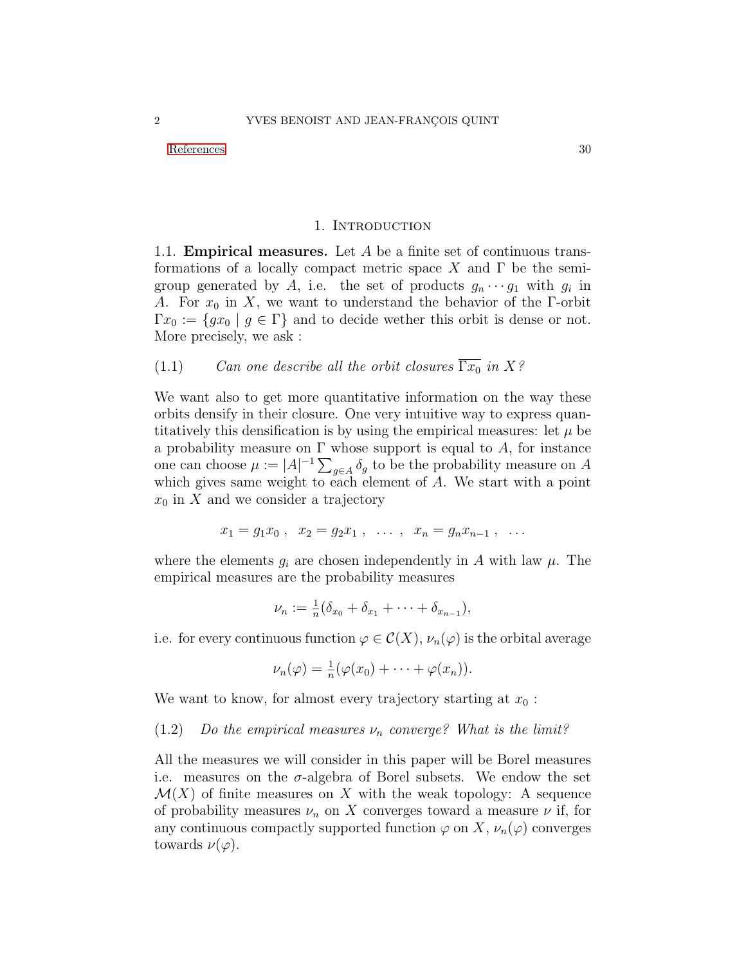[References](#page-29-0) 30

### 1. Introduction

<span id="page-1-1"></span><span id="page-1-0"></span>1.1. Empirical measures. Let A be a finite set of continuous transformations of a locally compact metric space X and  $\Gamma$  be the semigroup generated by A, i.e. the set of products  $g_n \cdots g_1$  with  $g_i$  in A. For  $x_0$  in X, we want to understand the behavior of the Γ-orbit  $\Gamma x_0 := \{gx_0 \mid g \in \Gamma\}$  and to decide wether this orbit is dense or not. More precisely, we ask :

(1.1) Can one describe all the orbit closures  $\overline{\Gamma x_0}$  in X?

We want also to get more quantitative information on the way these orbits densify in their closure. One very intuitive way to express quantitatively this densification is by using the empirical measures: let  $\mu$  be a probability measure on  $\Gamma$  whose support is equal to A, for instance one can choose  $\mu := |A|^{-1} \sum_{g \in A} \delta_g$  to be the probability measure on A which gives same weight to each element of A. We start with a point  $x_0$  in X and we consider a trajectory

$$
x_1 = g_1 x_0 , \quad x_2 = g_2 x_1 , \quad \dots , \quad x_n = g_n x_{n-1} , \quad \dots
$$

where the elements  $g_i$  are chosen independently in A with law  $\mu$ . The empirical measures are the probability measures

$$
\nu_n := \frac{1}{n} (\delta_{x_0} + \delta_{x_1} + \cdots + \delta_{x_{n-1}}),
$$

i.e. for every continuous function  $\varphi \in \mathcal{C}(X), \nu_n(\varphi)$  is the orbital average

$$
\nu_n(\varphi) = \frac{1}{n}(\varphi(x_0) + \cdots + \varphi(x_n)).
$$

We want to know, for almost every trajectory starting at  $x_0$ :

<span id="page-1-2"></span>(1.2) Do the empirical measures  $\nu_n$  converge? What is the limit?

All the measures we will consider in this paper will be Borel measures i.e. measures on the  $\sigma$ -algebra of Borel subsets. We endow the set  $\mathcal{M}(X)$  of finite measures on X with the weak topology: A sequence of probability measures  $\nu_n$  on X converges toward a measure  $\nu$  if, for any continuous compactly supported function  $\varphi$  on X,  $\nu_n(\varphi)$  converges towards  $\nu(\varphi)$ .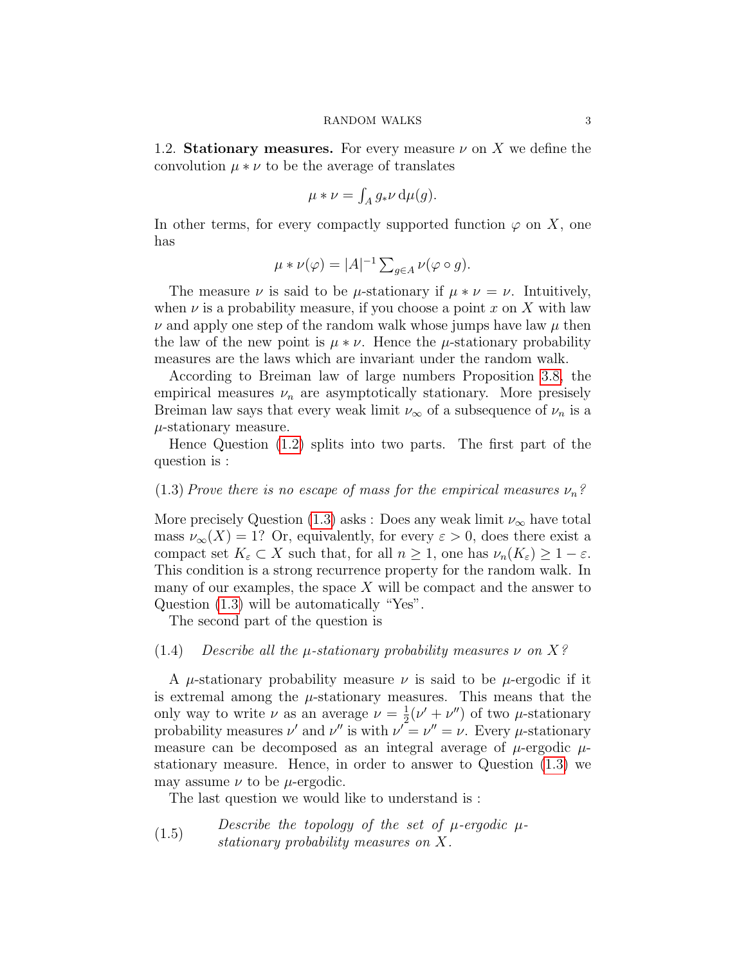<span id="page-2-0"></span>1.2. Stationary measures. For every measure  $\nu$  on X we define the convolution  $\mu * \nu$  to be the average of translates

$$
\mu * \nu = \int_A g_* \nu \, \mathrm{d}\mu(g).
$$

In other terms, for every compactly supported function  $\varphi$  on X, one has

$$
\mu * \nu(\varphi) = |A|^{-1} \sum_{g \in A} \nu(\varphi \circ g).
$$

The measure  $\nu$  is said to be  $\mu$ -stationary if  $\mu * \nu = \nu$ . Intuitively, when  $\nu$  is a probability measure, if you choose a point x on X with law  $\nu$  and apply one step of the random walk whose jumps have law  $\mu$  then the law of the new point is  $\mu * \nu$ . Hence the  $\mu$ -stationary probability measures are the laws which are invariant under the random walk.

According to Breiman law of large numbers Proposition [3.8,](#page-15-2) the empirical measures  $\nu_n$  are asymptotically stationary. More presisely Breiman law says that every weak limit  $\nu_{\infty}$  of a subsequence of  $\nu_n$  is a  $\mu$ -stationary measure.

Hence Question [\(1.2\)](#page-1-2) splits into two parts. The first part of the question is :

### <span id="page-2-1"></span>(1.3) Prove there is no escape of mass for the empirical measures  $\nu_n$ ?

More precisely Question [\(1.3\)](#page-2-1) asks : Does any weak limit  $\nu_{\infty}$  have total mass  $\nu_{\infty}(X) = 1$ ? Or, equivalently, for every  $\varepsilon > 0$ , does there exist a compact set  $K_{\varepsilon} \subset X$  such that, for all  $n \geq 1$ , one has  $\nu_n(K_{\varepsilon}) \geq 1 - \varepsilon$ . This condition is a strong recurrence property for the random walk. In many of our examples, the space  $X$  will be compact and the answer to Question [\(1.3\)](#page-2-1) will be automatically "Yes".

The second part of the question is

### (1.4) Describe all the  $\mu$ -stationary probability measures  $\nu$  on  $X$ ?

A  $\mu$ -stationary probability measure  $\nu$  is said to be  $\mu$ -ergodic if it is extremal among the  $\mu$ -stationary measures. This means that the only way to write  $\nu$  as an average  $\nu = \frac{1}{2}$  $\frac{1}{2}(\nu' + \nu'')$  of two  $\mu$ -stationary probability measures  $\nu'$  and  $\nu''$  is with  $\nu' = \nu'' = \nu$ . Every  $\mu$ -stationary measure can be decomposed as an integral average of  $\mu$ -ergodic  $\mu$ stationary measure. Hence, in order to answer to Question [\(1.3\)](#page-2-1) we may assume  $\nu$  to be  $\mu$ -ergodic.

The last question we would like to understand is :

(1.5) Describe the topology of the set of  $\mu$ -ergodic  $\mu$ stationary probability measures on X.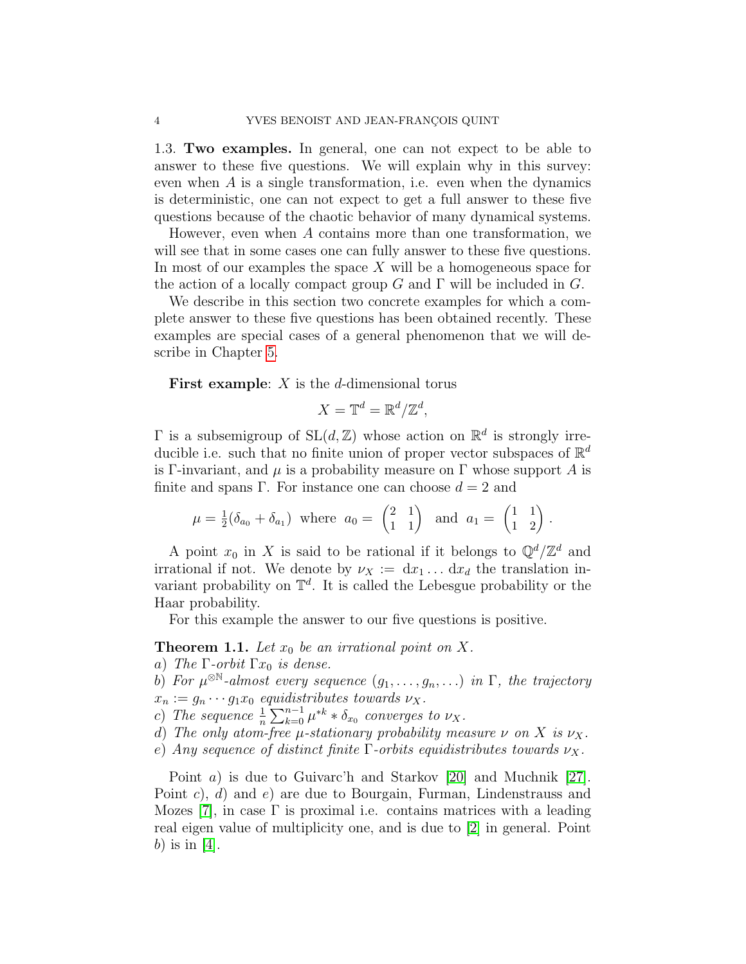<span id="page-3-0"></span>1.3. Two examples. In general, one can not expect to be able to answer to these five questions. We will explain why in this survey: even when  $A$  is a single transformation, i.e. even when the dynamics is deterministic, one can not expect to get a full answer to these five questions because of the chaotic behavior of many dynamical systems.

However, even when A contains more than one transformation, we will see that in some cases one can fully answer to these five questions. In most of our examples the space  $X$  will be a homogeneous space for the action of a locally compact group G and  $\Gamma$  will be included in G.

We describe in this section two concrete examples for which a complete answer to these five questions has been obtained recently. These examples are special cases of a general phenomenon that we will describe in Chapter [5.](#page-25-0)

**First example:**  $X$  is the  $d$ -dimensional torus

$$
X = \mathbb{T}^d = \mathbb{R}^d / \mathbb{Z}^d,
$$

 $\Gamma$  is a subsemigroup of  $SL(d, \mathbb{Z})$  whose action on  $\mathbb{R}^d$  is strongly irreducible i.e. such that no finite union of proper vector subspaces of  $\mathbb{R}^d$ is Γ-invariant, and  $\mu$  is a probability measure on Γ whose support A is finite and spans Γ. For instance one can choose  $d = 2$  and

$$
\mu = \frac{1}{2}(\delta_{a_0} + \delta_{a_1})
$$
 where  $a_0 = \begin{pmatrix} 2 & 1 \\ 1 & 1 \end{pmatrix}$  and  $a_1 = \begin{pmatrix} 1 & 1 \\ 1 & 2 \end{pmatrix}$ .

A point  $x_0$  in X is said to be rational if it belongs to  $\mathbb{Q}^d/\mathbb{Z}^d$  and irrational if not. We denote by  $\nu_X := dx_1 \dots dx_d$  the translation invariant probability on  $\mathbb{T}^d$ . It is called the Lebesgue probability or the Haar probability.

For this example the answer to our five questions is positive.

## <span id="page-3-1"></span>**Theorem 1.1.** Let  $x_0$  be an irrational point on X.

- a) The  $\Gamma$ -orbit  $\Gamma x_0$  is dense.
- b) For  $\mu^{\otimes \mathbb{N}}$ -almost every sequence  $(g_1, \ldots, g_n, \ldots)$  in  $\Gamma$ , the trajectory  $x_n := g_n \cdots g_1 x_0$  equidistributes towards  $\nu_X$ .
- c) The sequence  $\frac{1}{n} \sum_{k=0}^{n-1} \mu^{*k} * \delta_{x_0}$  converges to  $\nu_X$ .
- d) The only atom-free  $\mu$ -stationary probability measure  $\nu$  on X is  $\nu_X$ .
- e) Any sequence of distinct finite Γ-orbits equidistributes towards  $\nu_X$ .

Point a) is due to Guivarc'h and Starkov [\[20\]](#page-30-0) and Muchnik [\[27\]](#page-30-1). Point c), d) and e) are due to Bourgain, Furman, Lindenstrauss and Mozes [\[7\]](#page-29-1), in case  $\Gamma$  is proximal i.e. contains matrices with a leading real eigen value of multiplicity one, and is due to [\[2\]](#page-29-2) in general. Point b) is in  $[4]$ .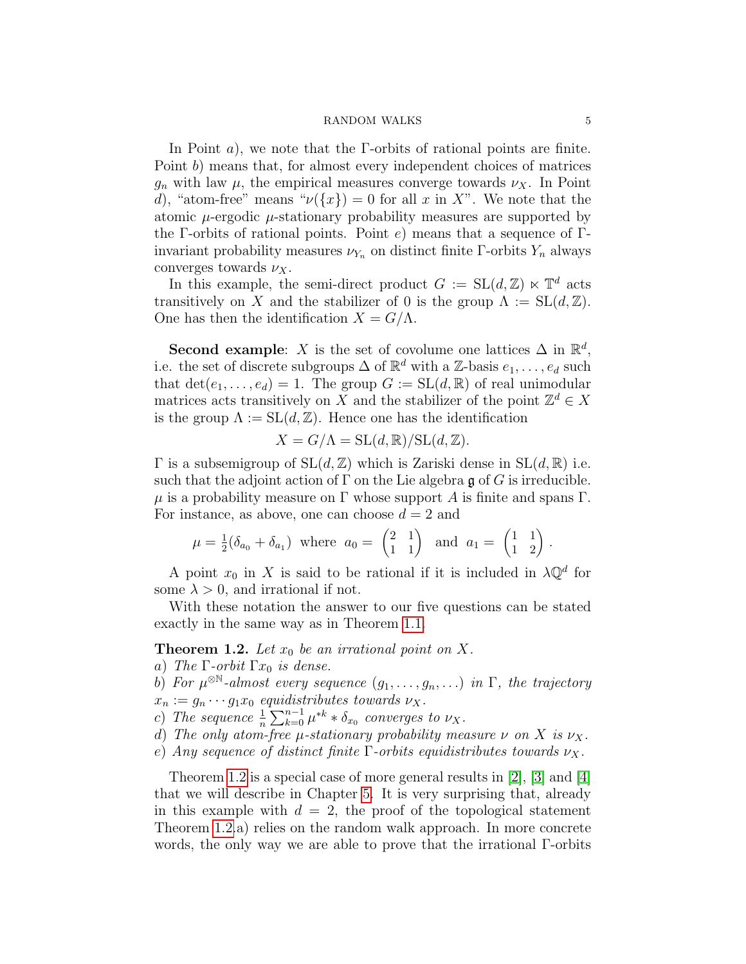In Point *a*), we note that the  $\Gamma$ -orbits of rational points are finite. Point b) means that, for almost every independent choices of matrices  $g_n$  with law  $\mu$ , the empirical measures converge towards  $\nu_X$ . In Point d), "atom-free" means " $\nu({x}) = 0$  for all x in X". We note that the atomic  $\mu$ -ergodic  $\mu$ -stationary probability measures are supported by the Γ-orbits of rational points. Point e) means that a sequence of Γinvariant probability measures  $\nu_{Y_n}$  on distinct finite Γ-orbits  $Y_n$  always converges towards  $\nu_X$ .

In this example, the semi-direct product  $G := SL(d, \mathbb{Z}) \ltimes \mathbb{T}^d$  acts transitively on X and the stabilizer of 0 is the group  $\Lambda := SL(d, \mathbb{Z})$ . One has then the identification  $X = G/\Lambda$ .

Second example: X is the set of covolume one lattices  $\Delta$  in  $\mathbb{R}^d$ , i.e. the set of discrete subgroups  $\Delta$  of  $\mathbb{R}^d$  with a Z-basis  $e_1, \ldots, e_d$  such that  $\det(e_1, \ldots, e_d) = 1$ . The group  $G := SL(d, \mathbb{R})$  of real unimodular matrices acts transitively on X and the stabilizer of the point  $\mathbb{Z}^d \in X$ is the group  $\Lambda := SL(d, \mathbb{Z})$ . Hence one has the identification

$$
X = G/\Lambda = SL(d, \mathbb{R})/SL(d, \mathbb{Z}).
$$

Γ is a subsemigroup of  $SL(d, \mathbb{Z})$  which is Zariski dense in  $SL(d, \mathbb{R})$  i.e. such that the adjoint action of  $\Gamma$  on the Lie algebra g of G is irreducible.  $\mu$  is a probability measure on  $\Gamma$  whose support A is finite and spans  $\Gamma$ . For instance, as above, one can choose  $d = 2$  and

$$
\mu = \frac{1}{2}(\delta_{a_0} + \delta_{a_1})
$$
 where  $a_0 = \begin{pmatrix} 2 & 1 \\ 1 & 1 \end{pmatrix}$  and  $a_1 = \begin{pmatrix} 1 & 1 \\ 1 & 2 \end{pmatrix}$ .

A point  $x_0$  in X is said to be rational if it is included in  $\lambda \mathbb{Q}^d$  for some  $\lambda > 0$ , and irrational if not.

With these notation the answer to our five questions can be stated exactly in the same way as in Theorem [1.1.](#page-3-1)

### <span id="page-4-0"></span>**Theorem 1.2.** Let  $x_0$  be an irrational point on X.

- a) The  $\Gamma$ -orbit  $\Gamma x_0$  is dense.
- b) For  $\mu^{\otimes \mathbb{N}}$ -almost every sequence  $(g_1, \ldots, g_n, \ldots)$  in  $\Gamma$ , the trajectory  $x_n := g_n \cdots g_1 x_0$  equidistributes towards  $\nu_X$ .
- c) The sequence  $\frac{1}{n} \sum_{k=0}^{n-1} \mu^{*k} * \delta_{x_0}$  converges to  $\nu_X$ .
- d) The only atom-free  $\mu$ -stationary probability measure  $\nu$  on X is  $\nu_X$ .
- e) Any sequence of distinct finite Γ-orbits equidistributes towards  $\nu_X$ .

Theorem [1.2](#page-4-0) is a special case of more general results in [\[2\]](#page-29-2), [\[3\]](#page-29-4) and [\[4\]](#page-29-3) that we will describe in Chapter [5.](#page-25-0) It is very surprising that, already in this example with  $d = 2$ , the proof of the topological statement Theorem [1.2.](#page-4-0)a) relies on the random walk approach. In more concrete words, the only way we are able to prove that the irrational Γ-orbits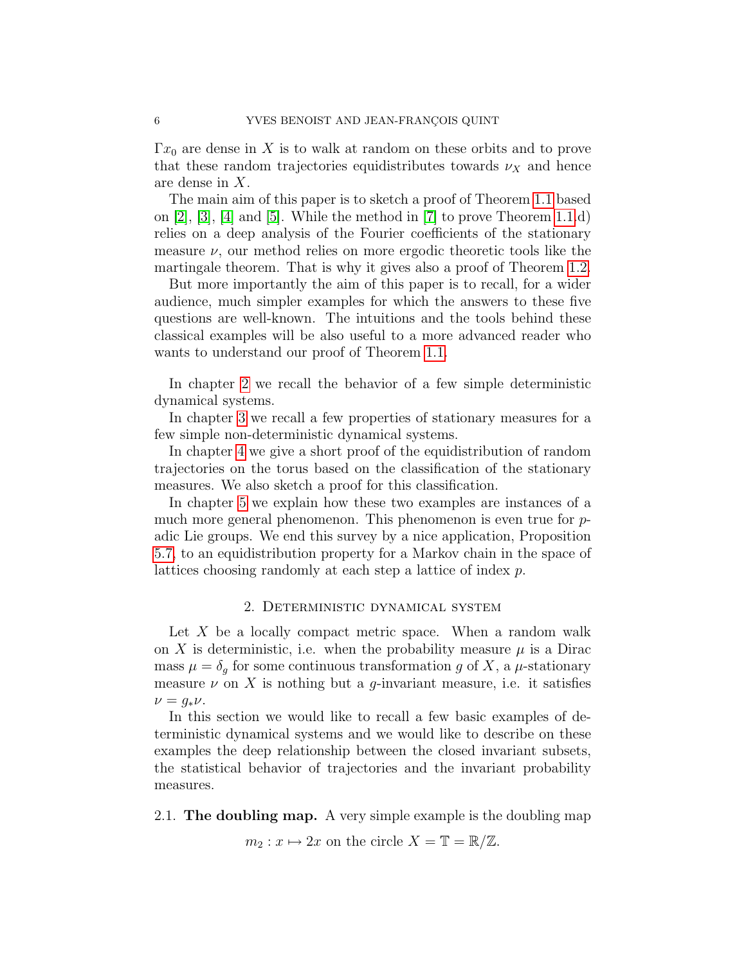$\Gamma x_0$  are dense in X is to walk at random on these orbits and to prove that these random trajectories equidistributes towards  $\nu_X$  and hence are dense in X.

The main aim of this paper is to sketch a proof of Theorem [1.1](#page-3-1) based on [\[2\]](#page-29-2), [\[3\]](#page-29-4), [\[4\]](#page-29-3) and [\[5\]](#page-29-5). While the method in [\[7\]](#page-29-1) to prove Theorem [1.1.](#page-3-1)d) relies on a deep analysis of the Fourier coefficients of the stationary measure  $\nu$ , our method relies on more ergodic theoretic tools like the martingale theorem. That is why it gives also a proof of Theorem [1.2.](#page-4-0)

But more importantly the aim of this paper is to recall, for a wider audience, much simpler examples for which the answers to these five questions are well-known. The intuitions and the tools behind these classical examples will be also useful to a more advanced reader who wants to understand our proof of Theorem [1.1.](#page-3-1)

In chapter [2](#page-5-0) we recall the behavior of a few simple deterministic dynamical systems.

In chapter [3](#page-11-1) we recall a few properties of stationary measures for a few simple non-deterministic dynamical systems.

In chapter [4](#page-16-0) we give a short proof of the equidistribution of random trajectories on the torus based on the classification of the stationary measures. We also sketch a proof for this classification.

In chapter [5](#page-25-0) we explain how these two examples are instances of a much more general phenomenon. This phenomenon is even true for padic Lie groups. We end this survey by a nice application, Proposition [5.7,](#page-28-1) to an equidistribution property for a Markov chain in the space of lattices choosing randomly at each step a lattice of index p.

### 2. Deterministic dynamical system

<span id="page-5-0"></span>Let  $X$  be a locally compact metric space. When a random walk on X is deterministic, i.e. when the probability measure  $\mu$  is a Dirac mass  $\mu = \delta_g$  for some continuous transformation g of X, a  $\mu$ -stationary measure  $\nu$  on X is nothing but a q-invariant measure, i.e. it satisfies  $\nu = q_*\nu.$ 

In this section we would like to recall a few basic examples of deterministic dynamical systems and we would like to describe on these examples the deep relationship between the closed invariant subsets, the statistical behavior of trajectories and the invariant probability measures.

<span id="page-5-1"></span>2.1. The doubling map. A very simple example is the doubling map

 $m_2: x \mapsto 2x$  on the circle  $X = \mathbb{T} = \mathbb{R}/\mathbb{Z}$ .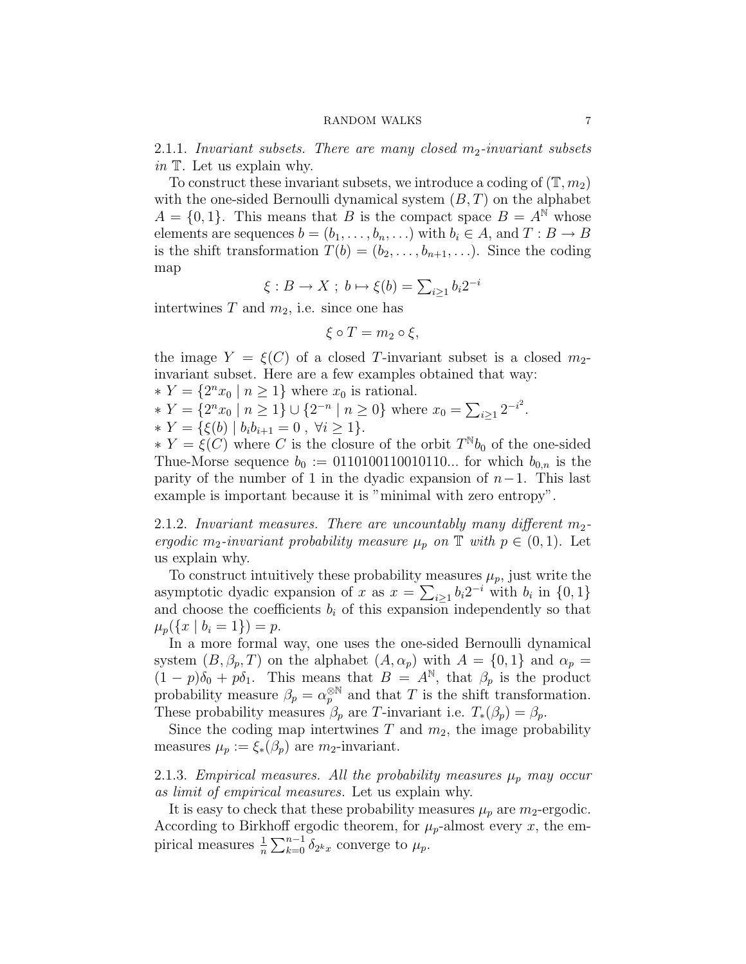2.1.1. Invariant subsets. There are many closed  $m_2$ -invariant subsets in  $\mathbb T$ . Let us explain why.

To construct these invariant subsets, we introduce a coding of  $(\mathbb{T}, m_2)$ with the one-sided Bernoulli dynamical system  $(B, T)$  on the alphabet  $A = \{0, 1\}$ . This means that B is the compact space  $B = A^{\mathbb{N}}$  whose elements are sequences  $b = (b_1, \ldots, b_n, \ldots)$  with  $b_i \in A$ , and  $T : B \to B$ is the shift transformation  $T(b) = (b_2, \ldots, b_{n+1}, \ldots)$ . Since the coding map

$$
\xi: B \to X \; ; \; b \mapsto \xi(b) = \sum_{i \geq 1} b_i 2^{-i}
$$

intertwines T and  $m_2$ , i.e. since one has

$$
\xi \circ T = m_2 \circ \xi,
$$

the image  $Y = \xi(C)$  of a closed T-invariant subset is a closed  $m_2$ invariant subset. Here are a few examples obtained that way:

 $* Y = \{2^n x_0 \mid n \ge 1\}$  where  $x_0$  is rational.

\*  $Y = \{2^n x_0 \mid n \ge 1\} \cup \{2^{-n} \mid n \ge 0\}$  where  $x_0 = \sum_{i \ge 1} 2^{-i^2}$ .

\* 
$$
Y = \{\xi(b) | b_i b_{i+1} = 0, \forall i \ge 1\}.
$$

 $* Y = \xi(C)$  where C is the closure of the orbit  $T^{\mathbb{N}}b_0$  of the one-sided Thue-Morse sequence  $b_0 := 0110100110010110...$  for which  $b_{0,n}$  is the parity of the number of 1 in the dyadic expansion of  $n-1$ . This last example is important because it is "minimal with zero entropy".

2.1.2. Invariant measures. There are uncountably many different  $m_2$ ergodic m<sub>2</sub>-invariant probability measure  $\mu_p$  on  $\mathbb T$  with  $p \in (0,1)$ . Let us explain why.

To construct intuitively these probability measures  $\mu_p$ , just write the asymptotic dyadic expansion of x as  $x = \sum_{i\geq 1} b_i 2^{-i}$  with  $b_i$  in  $\{0, 1\}$ and choose the coefficients  $b_i$  of this expansion independently so that  $\mu_p({x \mid b_i = 1}) = p.$ 

In a more formal way, one uses the one-sided Bernoulli dynamical system  $(B, \beta_p, T)$  on the alphabet  $(A, \alpha_p)$  with  $A = \{0, 1\}$  and  $\alpha_p =$  $(1-p)\delta_0 + p\delta_1$ . This means that  $B = A^{\mathbb{N}}$ , that  $\beta_p$  is the product probability measure  $\beta_p = \alpha_p^{\otimes N}$  and that T is the shift transformation. These probability measures  $\beta_p$  are T-invariant i.e.  $T_*(\beta_p) = \beta_p$ .

Since the coding map intertwines  $T$  and  $m_2$ , the image probability measures  $\mu_p := \xi_*(\beta_p)$  are  $m_2$ -invariant.

2.1.3. Empirical measures. All the probability measures  $\mu_p$  may occur as limit of empirical measures. Let us explain why.

It is easy to check that these probability measures  $\mu_p$  are  $m_2$ -ergodic. According to Birkhoff ergodic theorem, for  $\mu_p$ -almost every x, the empirical measures  $\frac{1}{n} \sum_{k=0}^{n-1} \delta_{2^k x}$  converge to  $\mu_p$ .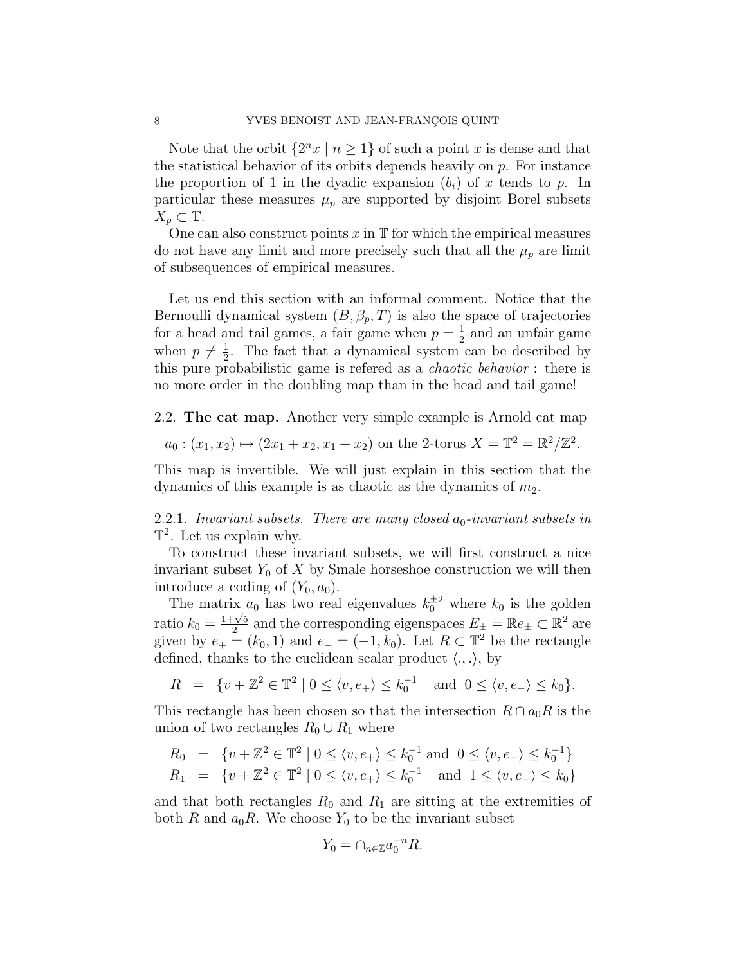Note that the orbit  $\{2^n x \mid n \geq 1\}$  of such a point x is dense and that the statistical behavior of its orbits depends heavily on  $p$ . For instance the proportion of 1 in the dyadic expansion  $(b_i)$  of x tends to p. In particular these measures  $\mu_p$  are supported by disjoint Borel subsets  $X_p \subset \mathbb{T}$ .

One can also construct points  $x$  in  $\mathbb T$  for which the empirical measures do not have any limit and more precisely such that all the  $\mu_p$  are limit of subsequences of empirical measures.

Let us end this section with an informal comment. Notice that the Bernoulli dynamical system  $(B, \beta_p, T)$  is also the space of trajectories for a head and tail games, a fair game when  $p = \frac{1}{2}$  $\frac{1}{2}$  and an unfair game when  $p \neq \frac{1}{2}$  $\frac{1}{2}$ . The fact that a dynamical system can be described by this pure probabilistic game is refered as a chaotic behavior : there is no more order in the doubling map than in the head and tail game!

<span id="page-7-0"></span>2.2. The cat map. Another very simple example is Arnold cat map

$$
a_0: (x_1, x_2) \mapsto (2x_1 + x_2, x_1 + x_2)
$$
 on the 2-torus  $X = \mathbb{T}^2 = \mathbb{R}^2 / \mathbb{Z}^2$ .

This map is invertible. We will just explain in this section that the dynamics of this example is as chaotic as the dynamics of  $m_2$ .

2.2.1. Invariant subsets. There are many closed  $a_0$ -invariant subsets in  $\mathbb{T}^2$ . Let us explain why.

To construct these invariant subsets, we will first construct a nice invariant subset  $Y_0$  of X by Smale horseshoe construction we will then introduce a coding of  $(Y_0, a_0)$ .

The matrix  $a_0$  has two real eigenvalues  $k_0^{\pm 2}$  where  $k_0$  is the golden ratio  $k_0 = \frac{1+\sqrt{5}}{2}$  $\frac{1}{2} \times \frac{5}{2}$  and the corresponding eigenspaces  $E_{\pm} = \mathbb{R}e_{\pm} \subset \mathbb{R}^2$  are given by  $e_+ = (k_0, 1)$  and  $e_- = (-1, k_0)$ . Let  $R \subset \mathbb{T}^2$  be the rectangle defined, thanks to the euclidean scalar product  $\langle ., . \rangle$ , by

$$
R = \{v + \mathbb{Z}^2 \in \mathbb{T}^2 \mid 0 \le \langle v, e_+ \rangle \le k_0^{-1} \quad \text{and} \quad 0 \le \langle v, e_- \rangle \le k_0\}.
$$

This rectangle has been chosen so that the intersection  $R \cap a_0R$  is the union of two rectangles  $R_0 \cup R_1$  where

$$
R_0 = \{v + \mathbb{Z}^2 \in \mathbb{T}^2 \mid 0 \le \langle v, e_+ \rangle \le k_0^{-1} \text{ and } 0 \le \langle v, e_- \rangle \le k_0^{-1} \}
$$
  

$$
R_1 = \{v + \mathbb{Z}^2 \in \mathbb{T}^2 \mid 0 \le \langle v, e_+ \rangle \le k_0^{-1} \text{ and } 1 \le \langle v, e_- \rangle \le k_0 \}
$$

and that both rectangles  $R_0$  and  $R_1$  are sitting at the extremities of both R and  $a_0R$ . We choose  $Y_0$  to be the invariant subset

$$
Y_0 = \cap_{n \in \mathbb{Z}} a_0^{-n} R.
$$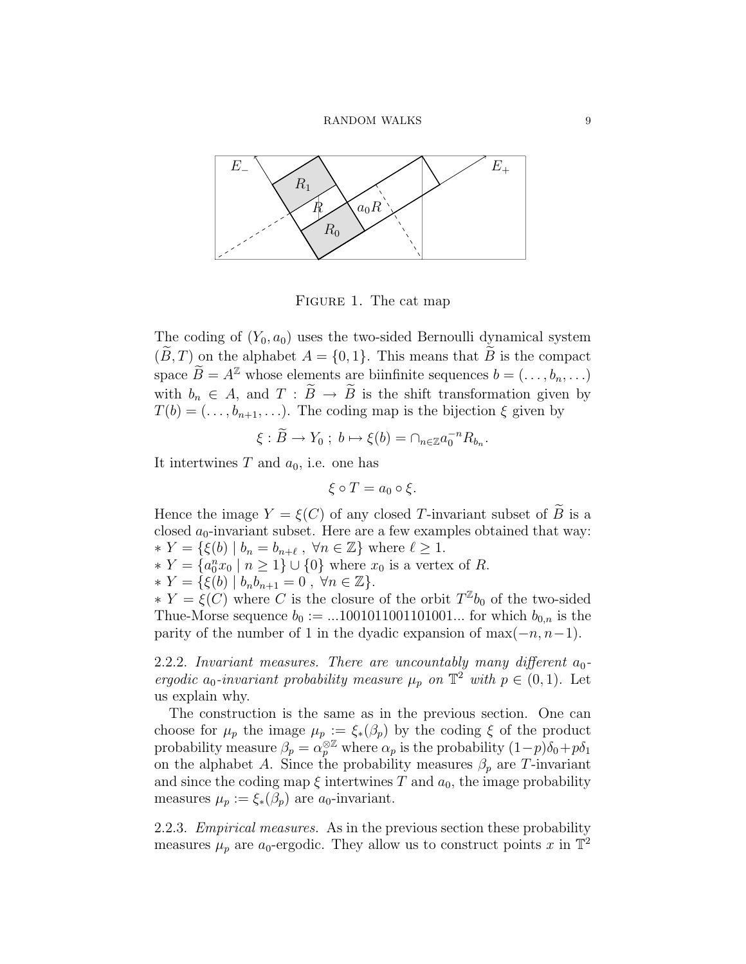

FIGURE 1. The cat map

The coding of  $(Y_0, a_0)$  uses the two-sided Bernoulli dynamical system  $(B, T)$  on the alphabet  $A = \{0, 1\}$ . This means that B is the compact space  $\widetilde{B} = A^{\mathbb{Z}}$  whose elements are biinfinite sequences  $b = (\ldots, b_n, \ldots)$ with  $b_n \in A$ , and  $T : \widetilde{B} \to \widetilde{B}$  is the shift transformation given by  $T(b) = (\ldots, b_{n+1}, \ldots)$ . The coding map is the bijection  $\xi$  given by

$$
\xi : \widetilde{B} \to Y_0 \; ; \; b \mapsto \xi(b) = \cap_{n \in \mathbb{Z}} a_0^{-n} R_{b_n}.
$$

It intertwines T and  $a_0$ , i.e. one has

$$
\xi \circ T = a_0 \circ \xi.
$$

Hence the image  $Y = \xi(C)$  of any closed T-invariant subset of B is a closed  $a_0$ -invariant subset. Here are a few examples obtained that way:  $* Y = \{ \xi(b) \mid b_n = b_{n+\ell} , \forall n \in \mathbb{Z} \}$  where  $\ell \geq 1$ .

- $* Y = \{a_0^n x_0 | n \ge 1\} ∪ \{0\}$  where  $x_0$  is a vertex of R.
- $\ast Y = \{ \xi(b) | b_n b_{n+1} = 0, \forall n \in \mathbb{Z} \}.$

 $* Y = \xi(C)$  where C is the closure of the orbit  $T^{\mathbb{Z}}b_0$  of the two-sided Thue-Morse sequence  $b_0 := ...1001011001101001...$  for which  $b_{0,n}$  is the parity of the number of 1 in the dyadic expansion of max $(-n, n-1)$ .

2.2.2. Invariant measures. There are uncountably many different  $a_0$ ergodic  $a_0$ -invariant probability measure  $\mu_p$  on  $\mathbb{T}^2$  with  $p \in (0,1)$ . Let us explain why.

The construction is the same as in the previous section. One can choose for  $\mu_p$  the image  $\mu_p := \xi_*(\beta_p)$  by the coding  $\xi$  of the product probability measure  $\beta_p = \alpha_p^{\otimes \mathbb{Z}}$  where  $\alpha_p$  is the probability  $(1-p)\delta_0 + p\delta_1$ on the alphabet A. Since the probability measures  $\beta_p$  are T-invariant and since the coding map  $\xi$  intertwines T and  $a_0$ , the image probability measures  $\mu_p := \xi_*(\beta_p)$  are  $a_0$ -invariant.

2.2.3. *Empirical measures*. As in the previous section these probability measures  $\mu_p$  are a<sub>0</sub>-ergodic. They allow us to construct points x in  $\mathbb{T}^2$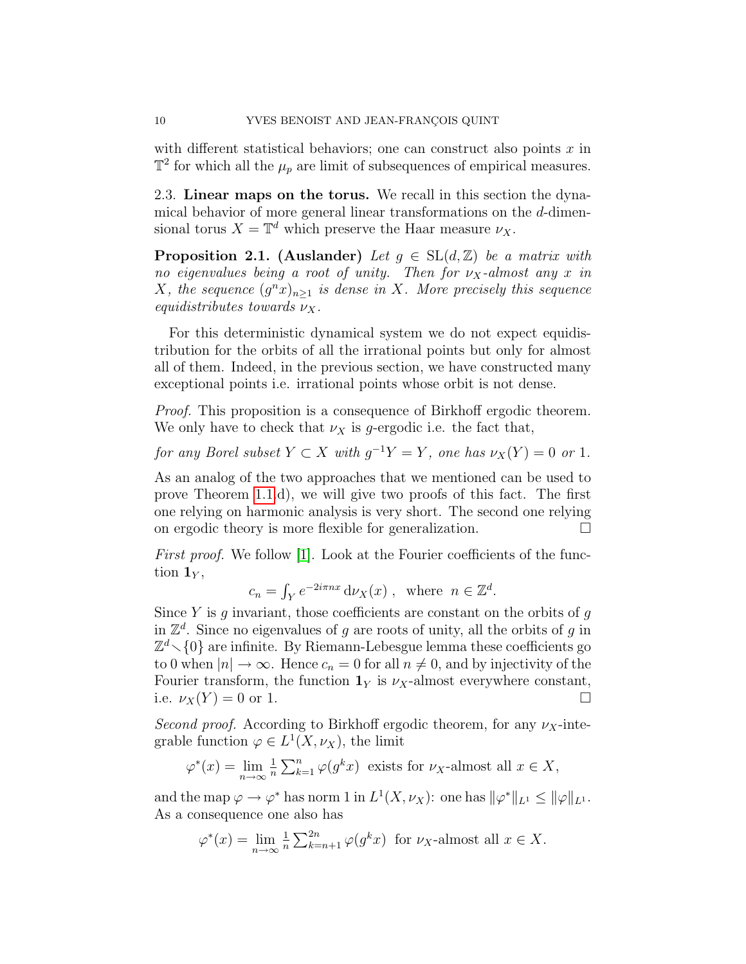with different statistical behaviors; one can construct also points  $x$  in  $\mathbb{T}^2$  for which all the  $\mu_p$  are limit of subsequences of empirical measures.

<span id="page-9-0"></span>2.3. Linear maps on the torus. We recall in this section the dynamical behavior of more general linear transformations on the d-dimensional torus  $X = \mathbb{T}^d$  which preserve the Haar measure  $\nu_X$ .

<span id="page-9-1"></span>**Proposition 2.1.** (Auslander) Let  $g \in SL(d, \mathbb{Z})$  be a matrix with no eigenvalues being a root of unity. Then for  $\nu_X$ -almost any x in X, the sequence  $(g^n x)_{n\geq 1}$  is dense in X. More precisely this sequence equidistributes towards  $\nu_X$ .

For this deterministic dynamical system we do not expect equidistribution for the orbits of all the irrational points but only for almost all of them. Indeed, in the previous section, we have constructed many exceptional points i.e. irrational points whose orbit is not dense.

Proof. This proposition is a consequence of Birkhoff ergodic theorem. We only have to check that  $\nu_X$  is g-ergodic i.e. the fact that,

for any Borel subset  $Y \subset X$  with  $g^{-1}Y = Y$ , one has  $\nu_X(Y) = 0$  or 1.

As an analog of the two approaches that we mentioned can be used to prove Theorem [1.1.](#page-3-1)d), we will give two proofs of this fact. The first one relying on harmonic analysis is very short. The second one relying on ergodic theory is more flexible for generalization.

First proof. We follow [\[1\]](#page-29-0). Look at the Fourier coefficients of the function  $\mathbf{1}_Y$ ,

$$
c_n = \int_Y e^{-2i\pi nx} \, d\nu_X(x) , \text{ where } n \in \mathbb{Z}^d.
$$

Since  $Y$  is  $g$  invariant, those coefficients are constant on the orbits of  $g$ in  $\mathbb{Z}^d$ . Since no eigenvalues of g are roots of unity, all the orbits of g in  $\mathbb{Z}^d$  {0} are infinite. By Riemann-Lebesgue lemma these coefficients go to 0 when  $|n| \to \infty$ . Hence  $c_n = 0$  for all  $n \neq 0$ , and by injectivity of the Fourier transform, the function  $1_Y$  is  $\nu_X$ -almost everywhere constant, i.e.  $\nu_X(Y) = 0$  or 1.

Second proof. According to Birkhoff ergodic theorem, for any  $\nu_X$ -integrable function  $\varphi \in L^1(X, \nu_X)$ , the limit

$$
\varphi^*(x) = \lim_{n \to \infty} \frac{1}{n} \sum_{k=1}^n \varphi(g^k x)
$$
 exists for  $\nu_X$ -almost all  $x \in X$ ,

and the map  $\varphi \to \varphi^*$  has norm 1 in  $L^1(X, \nu_X)$ : one has  $\|\varphi^*\|_{L^1} \le \|\varphi\|_{L^1}$ . As a consequence one also has

$$
\varphi^*(x) = \lim_{n \to \infty} \frac{1}{n} \sum_{k=n+1}^{2n} \varphi(g^k x)
$$
 for  $\nu_X$ -almost all  $x \in X$ .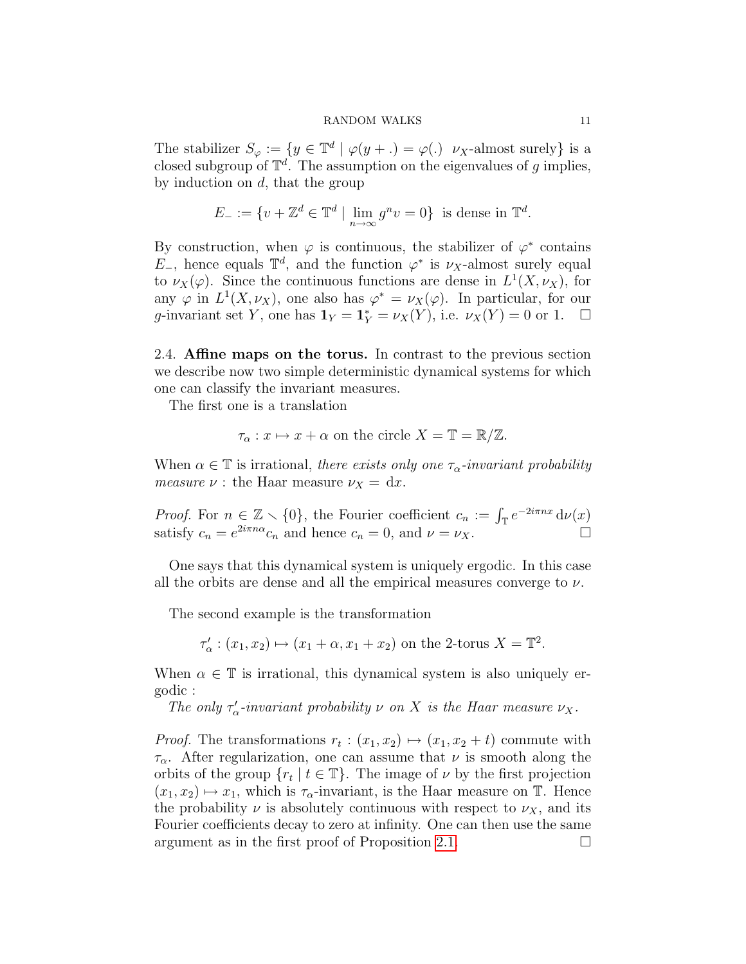The stabilizer  $S_{\varphi} := \{ y \in \mathbb{T}^d \mid \varphi(y + .) = \varphi(.) \ \nu_X\text{-almost surely} \}$  is a closed subgroup of  $\mathbb{T}^d$ . The assumption on the eigenvalues of g implies, by induction on  $d$ , that the group

$$
E_{-} := \{ v + \mathbb{Z}^{d} \in \mathbb{T}^{d} \mid \lim_{n \to \infty} g^{n} v = 0 \} \text{ is dense in } \mathbb{T}^{d}.
$$

By construction, when  $\varphi$  is continuous, the stabilizer of  $\varphi^*$  contains  $E_{-}$ , hence equals  $\mathbb{T}^d$ , and the function  $\varphi^*$  is  $\nu_X$ -almost surely equal to  $\nu_X(\varphi)$ . Since the continuous functions are dense in  $L^1(X, \nu_X)$ , for any  $\varphi$  in  $L^1(X, \nu_X)$ , one also has  $\varphi^* = \nu_X(\varphi)$ . In particular, for our g-invariant set Y, one has  $\mathbf{1}_Y = \mathbf{1}_Y^* = \nu_X(Y)$ , i.e.  $\nu_X(Y) = 0$  or 1.  $\Box$ 

<span id="page-10-0"></span>2.4. Affine maps on the torus. In contrast to the previous section we describe now two simple deterministic dynamical systems for which one can classify the invariant measures.

The first one is a translation

$$
\tau_{\alpha}: x \mapsto x + \alpha \text{ on the circle } X = \mathbb{T} = \mathbb{R}/\mathbb{Z}.
$$

When  $\alpha \in \mathbb{T}$  is irrational, there exists only one  $\tau_{\alpha}$ -invariant probability *measure*  $\nu$  : the Haar measure  $\nu_X = dx$ .

*Proof.* For  $n \in \mathbb{Z} \setminus \{0\}$ , the Fourier coefficient  $c_n := \int_{\mathbb{T}} e^{-2i\pi nx} d\nu(x)$ satisfy  $c_n = e^{2i\pi n\alpha}c_n$  and hence  $c_n = 0$ , and  $\nu = \nu_X$ .

One says that this dynamical system is uniquely ergodic. In this case all the orbits are dense and all the empirical measures converge to  $\nu$ .

The second example is the transformation

 $\tau'_{\alpha} : (x_1, x_2) \mapsto (x_1 + \alpha, x_1 + x_2)$  on the 2-torus  $X = \mathbb{T}^2$ .

When  $\alpha \in \mathbb{T}$  is irrational, this dynamical system is also uniquely ergodic :

The only  $\tau'_{\alpha}$ -invariant probability  $\nu$  on X is the Haar measure  $\nu_X$ .

*Proof.* The transformations  $r_t : (x_1, x_2) \mapsto (x_1, x_2 + t)$  commute with  $\tau_{\alpha}$ . After regularization, one can assume that  $\nu$  is smooth along the orbits of the group  $\{r_t \mid t \in \mathbb{T}\}\.$  The image of  $\nu$  by the first projection  $(x_1, x_2) \mapsto x_1$ , which is  $\tau_{\alpha}$ -invariant, is the Haar measure on T. Hence the probability  $\nu$  is absolutely continuous with respect to  $\nu_X$ , and its Fourier coefficients decay to zero at infinity. One can then use the same argument as in the first proof of Proposition [2.1.](#page-9-1)  $\Box$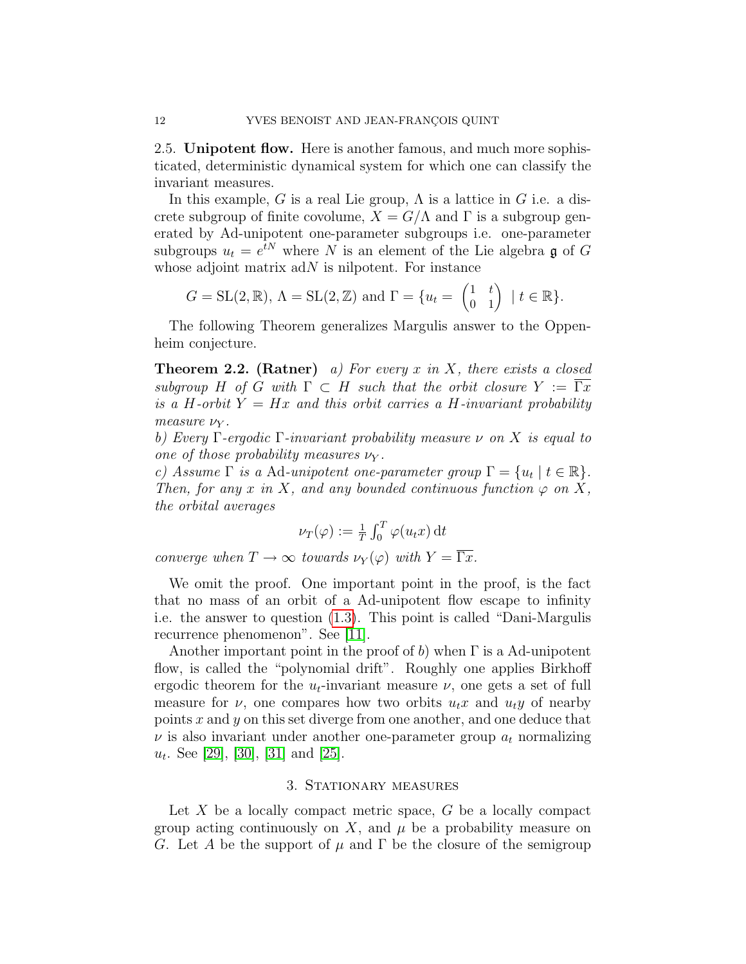<span id="page-11-0"></span>2.5. Unipotent flow. Here is another famous, and much more sophisticated, deterministic dynamical system for which one can classify the invariant measures.

In this example, G is a real Lie group,  $\Lambda$  is a lattice in G i.e. a discrete subgroup of finite covolume,  $X = G/\Lambda$  and  $\Gamma$  is a subgroup generated by Ad-unipotent one-parameter subgroups i.e. one-parameter subgroups  $u_t = e^{tN}$  where N is an element of the Lie algebra  $\mathfrak g$  of G whose adjoint matrix  $adN$  is nilpotent. For instance

$$
G = \mathrm{SL}(2, \mathbb{R}), \Lambda = \mathrm{SL}(2, \mathbb{Z}) \text{ and } \Gamma = \{u_t = \begin{pmatrix} 1 & t \\ 0 & 1 \end{pmatrix} \mid t \in \mathbb{R}\}.
$$

The following Theorem generalizes Margulis answer to the Oppenheim conjecture.

<span id="page-11-2"></span>**Theorem 2.2.** (Ratner) a) For every x in X, there exists a closed subgroup H of G with  $\Gamma \subset H$  such that the orbit closure  $Y := \Gamma x$ is a H-orbit  $Y = Hx$  and this orbit carries a H-invariant probability measure  $\nu_Y$ .

b) Every  $\Gamma$ -ergodic  $\Gamma$ -invariant probability measure  $\nu$  on X is equal to one of those probability measures  $\nu_Y$ .

c) Assume  $\Gamma$  is a Ad-unipotent one-parameter group  $\Gamma = \{u_t | t \in \mathbb{R}\}.$ Then, for any x in X, and any bounded continuous function  $\varphi$  on X, the orbital averages

$$
\nu_T(\varphi) := \frac{1}{T} \int_0^T \varphi(u_t x) dt
$$

converge when  $T \to \infty$  towards  $\nu_Y(\varphi)$  with  $Y = \overline{\Gamma x}$ .

We omit the proof. One important point in the proof, is the fact that no mass of an orbit of a Ad-unipotent flow escape to infinity i.e. the answer to question [\(1.3\)](#page-2-1). This point is called "Dani-Margulis recurrence phenomenon". See [\[11\]](#page-29-6).

Another important point in the proof of b) when  $\Gamma$  is a Ad-unipotent flow, is called the "polynomial drift". Roughly one applies Birkhoff ergodic theorem for the  $u_t$ -invariant measure  $\nu$ , one gets a set of full measure for  $\nu$ , one compares how two orbits  $u_t x$  and  $u_t y$  of nearby points x and y on this set diverge from one another, and one deduce that  $\nu$  is also invariant under another one-parameter group  $a_t$  normalizing  $u_t$ . See [\[29\]](#page-30-2), [\[30\]](#page-30-3), [\[31\]](#page-30-4) and [\[25\]](#page-30-5).

### 3. STATIONARY MEASURES

<span id="page-11-1"></span>Let  $X$  be a locally compact metric space,  $G$  be a locally compact group acting continuously on X, and  $\mu$  be a probability measure on G. Let A be the support of  $\mu$  and  $\Gamma$  be the closure of the semigroup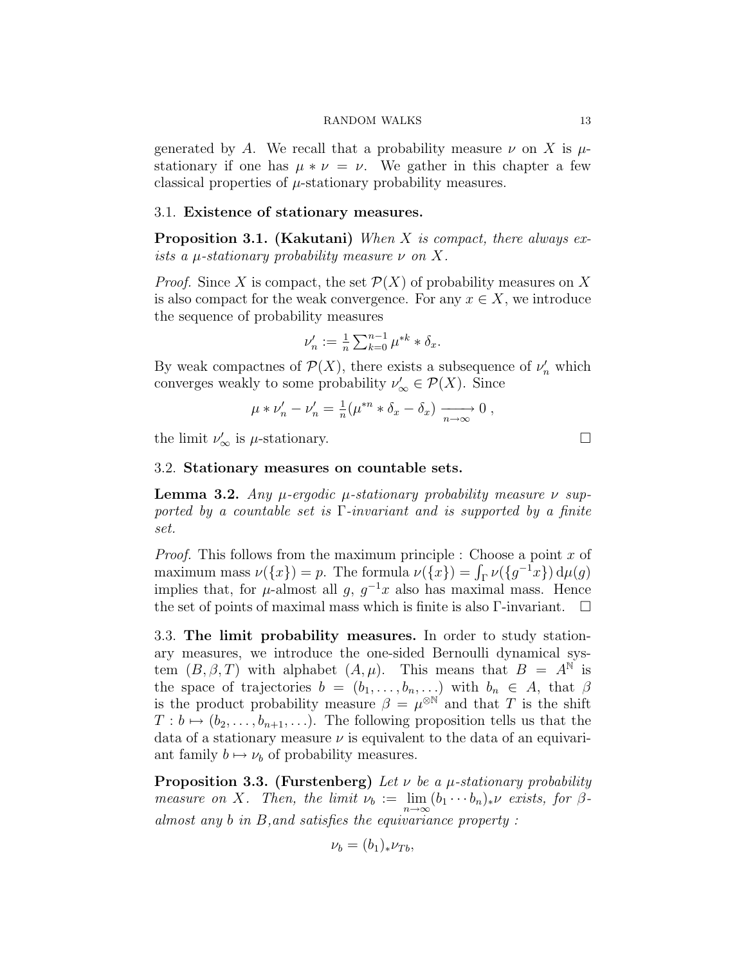generated by A. We recall that a probability measure  $\nu$  on X is  $\mu$ stationary if one has  $\mu * \nu = \nu$ . We gather in this chapter a few classical properties of  $\mu$ -stationary probability measures.

### <span id="page-12-0"></span>3.1. Existence of stationary measures.

**Proposition 3.1. (Kakutani)** When  $X$  is compact, there always exists a  $\mu$ -stationary probability measure  $\nu$  on X.

*Proof.* Since X is compact, the set  $\mathcal{P}(X)$  of probability measures on X is also compact for the weak convergence. For any  $x \in X$ , we introduce the sequence of probability measures

$$
\nu'_n := \frac{1}{n} \sum_{k=0}^{n-1} \mu^{*k} * \delta_x.
$$

By weak compactnes of  $\mathcal{P}(X)$ , there exists a subsequence of  $\nu'_n$  which converges weakly to some probability  $\nu'_{\infty} \in \mathcal{P}(X)$ . Since

$$
\mu * \nu'_n - \nu'_n = \frac{1}{n} (\mu^{*n} * \delta_x - \delta_x) \xrightarrow[n \to \infty]{} 0 ,
$$

the limit  $\nu'_{\infty}$  is  $\mu$ -stationary.

### <span id="page-12-4"></span><span id="page-12-1"></span>3.2. Stationary measures on countable sets.

**Lemma 3.2.** Any *μ*-ergodic *μ*-stationary probability measure *ν* supported by a countable set is  $\Gamma$ -invariant and is supported by a finite set.

*Proof.* This follows from the maximum principle : Choose a point  $x$  of maximum mass  $\nu({x}) = p$ . The formula  $\nu({x}) = \int_{\Gamma} \nu({g^{-1}x}) d\mu(g)$ implies that, for  $\mu$ -almost all g,  $g^{-1}x$  also has maximal mass. Hence the set of points of maximal mass which is finite is also  $\Gamma$ -invariant.  $\Box$ 

<span id="page-12-2"></span>3.3. The limit probability measures. In order to study stationary measures, we introduce the one-sided Bernoulli dynamical system  $(B, \beta, T)$  with alphabet  $(A, \mu)$ . This means that  $B = A^{\mathbb{N}}$  is the space of trajectories  $b = (b_1, \ldots, b_n, \ldots)$  with  $b_n \in A$ , that  $\beta$ is the product probability measure  $\beta = \mu^{\otimes N}$  and that T is the shift  $T : b \mapsto (b_2, \ldots, b_{n+1}, \ldots)$ . The following proposition tells us that the data of a stationary measure  $\nu$  is equivalent to the data of an equivariant family  $b \mapsto \nu_b$  of probability measures.

<span id="page-12-3"></span>**Proposition 3.3. (Furstenberg)** Let  $\nu$  be a  $\mu$ -stationary probability measure on X. Then, the limit  $\nu_b := \lim_{n \to \infty} (b_1 \cdots b_n)_* \nu$  exists, for  $\beta$ almost any b in B,and satisfies the equivariance property :

$$
\nu_b = (b_1)_* \nu_{Tb},
$$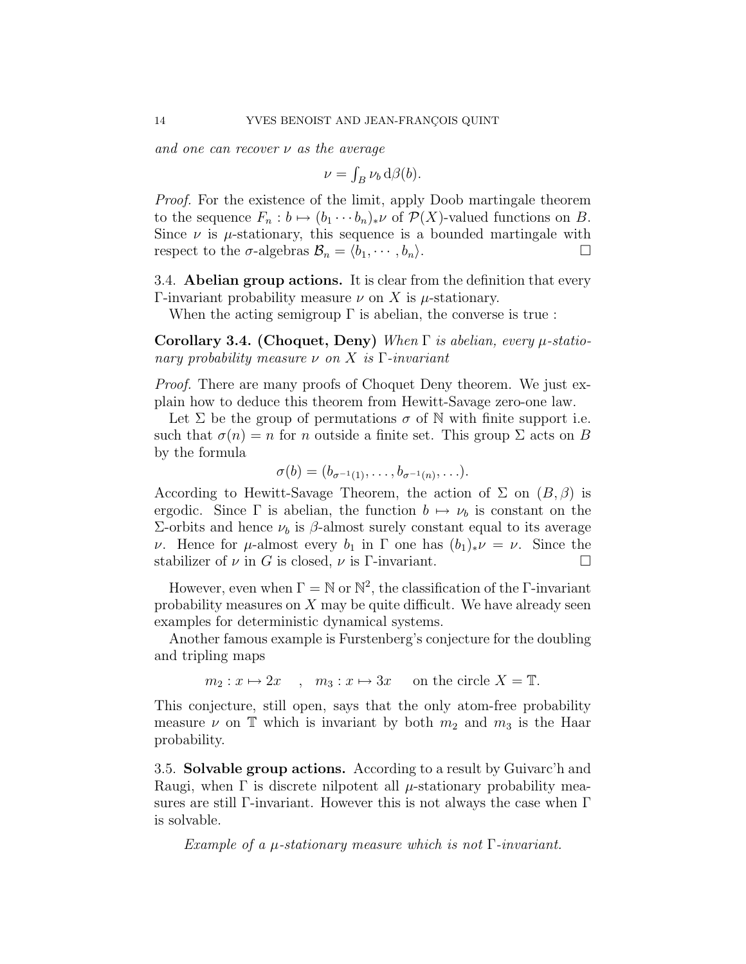and one can recover  $\nu$  as the average

$$
\nu = \int_B \nu_b \, d\beta(b).
$$

Proof. For the existence of the limit, apply Doob martingale theorem to the sequence  $F_n : b \mapsto (b_1 \cdots b_n)_* \nu$  of  $\mathcal{P}(X)$ -valued functions on B. Since  $\nu$  is  $\mu$ -stationary, this sequence is a bounded martingale with respect to the  $\sigma$ -algebras  $\mathcal{B}_n = \langle b_1, \cdots, b_n \rangle$ .

<span id="page-13-0"></span>3.4. Abelian group actions. It is clear from the definition that every Γ-invariant probability measure  $ν$  on X is  $μ$ -stationary.

When the acting semigroup  $\Gamma$  is abelian, the converse is true :

Corollary 3.4. (Choquet, Deny) When  $\Gamma$  is abelian, every  $\mu$ -stationary probability measure  $\nu$  on X is Γ-invariant

Proof. There are many proofs of Choquet Deny theorem. We just explain how to deduce this theorem from Hewitt-Savage zero-one law.

Let  $\Sigma$  be the group of permutations  $\sigma$  of N with finite support i.e. such that  $\sigma(n) = n$  for n outside a finite set. This group  $\Sigma$  acts on B by the formula

$$
\sigma(b)=(b_{\sigma^{-1}(1)},\ldots,b_{\sigma^{-1}(n)},\ldots).
$$

According to Hewitt-Savage Theorem, the action of  $\Sigma$  on  $(B, \beta)$  is ergodic. Since  $\Gamma$  is abelian, the function  $b \mapsto \nu_b$  is constant on the  $\Sigma$ -orbits and hence  $ν<sub>b</sub>$  is  $β$ -almost surely constant equal to its average ν. Hence for μ-almost every  $b_1$  in Γ one has  $(b_1)_*\nu = \nu$ . Since the stabilizer of  $\nu$  in G is closed,  $\nu$  is Γ-invariant.

However, even when  $\Gamma = \mathbb{N}$  or  $\mathbb{N}^2$ , the classification of the  $\Gamma$ -invariant probability measures on  $X$  may be quite difficult. We have already seen examples for deterministic dynamical systems.

Another famous example is Furstenberg's conjecture for the doubling and tripling maps

$$
m_2: x \mapsto 2x
$$
,  $m_3: x \mapsto 3x$  on the circle  $X = \mathbb{T}$ .

This conjecture, still open, says that the only atom-free probability measure  $\nu$  on T which is invariant by both  $m_2$  and  $m_3$  is the Haar probability.

<span id="page-13-1"></span>3.5. Solvable group actions. According to a result by Guivarc'h and Raugi, when  $\Gamma$  is discrete nilpotent all  $\mu$ -stationary probability measures are still Γ-invariant. However this is not always the case when Γ is solvable.

Example of a  $\mu$ -stationary measure which is not  $\Gamma$ -invariant.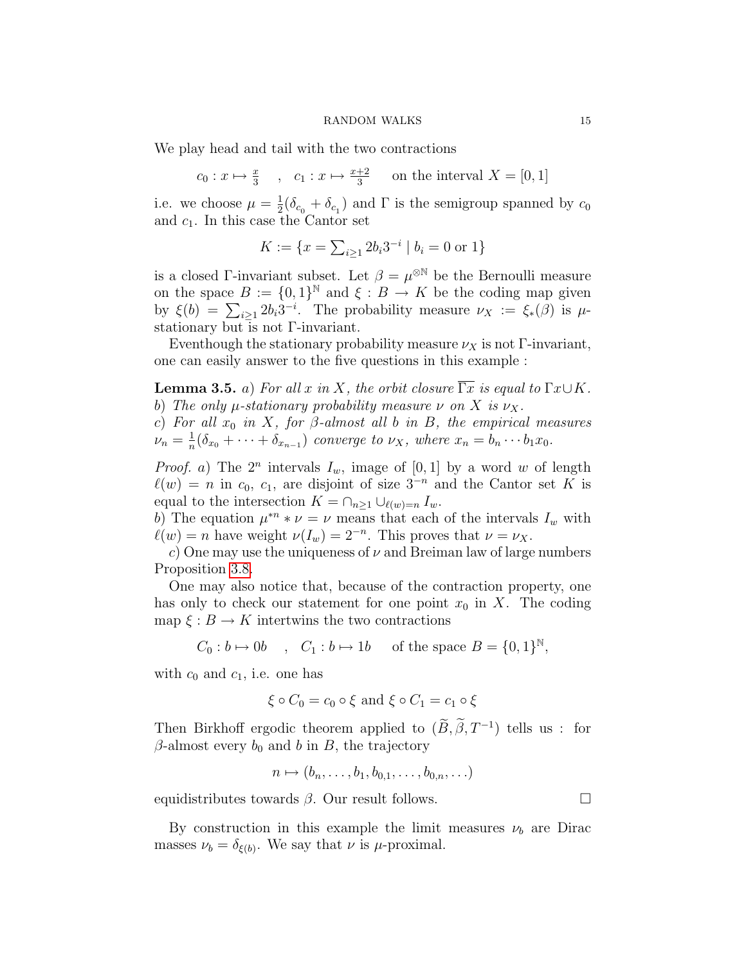We play head and tail with the two contractions

$$
c_0: x \mapsto \frac{x}{3}
$$
,  $c_1: x \mapsto \frac{x+2}{3}$  on the interval  $X = [0, 1]$ 

i.e. we choose  $\mu = \frac{1}{2}$  $\frac{1}{2}(\delta_{c_0} + \delta_{c_1})$  and  $\Gamma$  is the semigroup spanned by  $c_0$ and  $c_1$ . In this case the Cantor set

$$
K := \{ x = \sum_{i \ge 1} 2b_i 3^{-i} \mid b_i = 0 \text{ or } 1 \}
$$

is a closed Γ-invariant subset. Let  $\beta = \mu^{\otimes N}$  be the Bernoulli measure on the space  $B := \{0,1\}^{\mathbb{N}}$  and  $\xi : B \to K$  be the coding map given by  $\xi(b) = \sum_{i\geq 1} 2b_i 3^{-i}$ . The probability measure  $\nu_X := \xi_*(\beta)$  is  $\mu$ stationary but is not Γ-invariant.

Eventhough the stationary probability measure  $\nu_X$  is not Γ-invariant, one can easily answer to the five questions in this example :

<span id="page-14-0"></span>**Lemma 3.5.** a) For all x in X, the orbit closure  $\Gamma x$  is equal to  $\Gamma x \cup K$ . b) The only  $\mu$ -stationary probability measure  $\nu$  on X is  $\nu_X$ .

c) For all  $x_0$  in X, for  $\beta$ -almost all b in B, the empirical measures  $\nu_n = \frac{1}{n}$  $\frac{1}{n}(\delta_{x_0} + \cdots + \delta_{x_{n-1}})$  converge to  $\nu_X$ , where  $x_n = b_n \cdots b_1 x_0$ .

*Proof.* a) The  $2^n$  intervals  $I_w$ , image of  $[0, 1]$  by a word w of length  $\ell(w) = n$  in c<sub>0</sub>, c<sub>1</sub>, are disjoint of size 3<sup>-n</sup> and the Cantor set K is equal to the intersection  $K = \bigcap_{n \geq 1} \bigcup_{\ell(w)=n} I_w$ .

b) The equation  $\mu^{*n} * \nu = \nu$  means that each of the intervals  $I_w$  with  $\ell(w) = n$  have weight  $\nu(I_w) = 2^{-n}$ . This proves that  $\nu = \nu_X$ .

c) One may use the uniqueness of  $\nu$  and Breiman law of large numbers Proposition [3.8.](#page-15-2)

One may also notice that, because of the contraction property, one has only to check our statement for one point  $x_0$  in X. The coding map  $\xi : B \to K$  intertwins the two contractions

$$
C_0: b \mapsto 0b \quad , \quad C_1: b \mapsto 1b \quad \text{ of the space } B = \{0,1\}^{\mathbb{N}},
$$

with  $c_0$  and  $c_1$ , i.e. one has

$$
\xi \circ C_0 = c_0 \circ \xi \text{ and } \xi \circ C_1 = c_1 \circ \xi
$$

Then Birkhoff ergodic theorem applied to  $(\tilde{B}, \tilde{\beta}, T^{-1})$  tells us : for  $\beta$ -almost every  $b_0$  and b in B, the trajectory

$$
n \mapsto (b_n, \ldots, b_1, b_{0,1}, \ldots, b_{0,n}, \ldots)
$$

equidistributes towards  $\beta$ . Our result follows.

By construction in this example the limit measures  $\nu_b$  are Dirac masses  $\nu_b = \delta_{\xi(b)}$ . We say that  $\nu$  is  $\mu$ -proximal.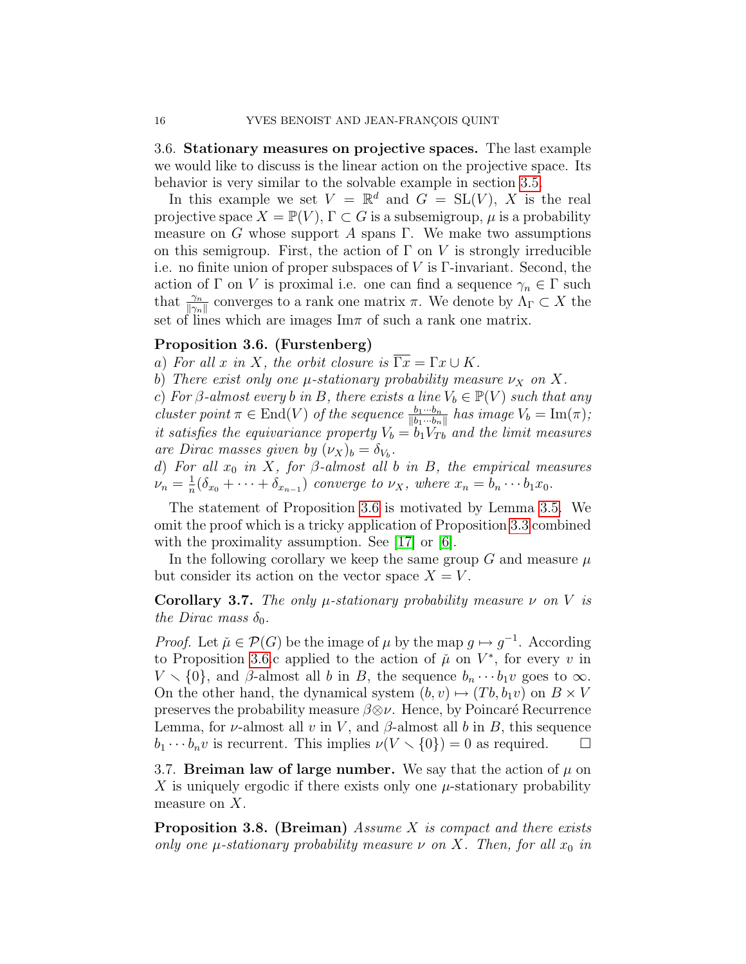<span id="page-15-0"></span>3.6. Stationary measures on projective spaces. The last example we would like to discuss is the linear action on the projective space. Its behavior is very similar to the solvable example in section [3.5.](#page-13-1)

In this example we set  $V = \mathbb{R}^d$  and  $G = SL(V)$ , X is the real projective space  $X = \mathbb{P}(V)$ ,  $\Gamma \subset G$  is a subsemigroup,  $\mu$  is a probability measure on G whose support A spans Γ. We make two assumptions on this semigroup. First, the action of  $\Gamma$  on V is strongly irreducible i.e. no finite union of proper subspaces of V is Γ-invariant. Second, the action of Γ on V is proximal i.e. one can find a sequence  $\gamma_n \in \Gamma$  such that  $\frac{\gamma_n}{\|\gamma_n\|}$  converges to a rank one matrix  $\pi$ . We denote by  $\Lambda_{\Gamma} \subset X$  the set of lines which are images  $\text{Im}\pi$  of such a rank one matrix.

### <span id="page-15-3"></span>Proposition 3.6. (Furstenberg)

a) For all x in X, the orbit closure is  $\overline{\Gamma x} = \Gamma x \cup K$ .

b) There exist only one  $\mu$ -stationary probability measure  $\nu_X$  on X.

c) For  $\beta$ -almost every b in B, there exists a line  $V_b \in \mathbb{P}(V)$  such that any

cluster point  $\pi \in \text{End}(V)$  of the sequence  $\frac{b_1 \cdots b_n}{\|b_1 \cdots b_n\|}$  has image  $V_b = \text{Im}(\pi)$ ; it satisfies the equivariance property  $V_b = b_1 V_{Tb}$  and the limit measures are Dirac masses given by  $(\nu_X)_b = \delta_{V_b}$ .

d) For all  $x_0$  in X, for  $\beta$ -almost all b in B, the empirical measures  $\nu_n = \frac{1}{n}$  $\frac{1}{n}(\delta_{x_0} + \cdots + \delta_{x_{n-1}})$  converge to  $\nu_X$ , where  $x_n = b_n \cdots b_1 x_0$ .

The statement of Proposition [3.6](#page-15-3) is motivated by Lemma [3.5.](#page-14-0) We omit the proof which is a tricky application of Proposition [3.3](#page-12-3) combined with the proximality assumption. See [\[17\]](#page-30-6) or [\[6\]](#page-29-7).

In the following corollary we keep the same group G and measure  $\mu$ but consider its action on the vector space  $X = V$ .

<span id="page-15-4"></span>Corollary 3.7. The only  $\mu$ -stationary probability measure  $\nu$  on V is the Dirac mass  $\delta_0$ .

*Proof.* Let  $\mu \in \mathcal{P}(G)$  be the image of  $\mu$  by the map  $g \mapsto g^{-1}$ . According to Proposition [3.6.](#page-15-3)c applied to the action of  $\mu$  on  $V^*$ , for every v in  $V \setminus \{0\}$ , and β-almost all b in B, the sequence  $b_n \cdots b_1 v$  goes to  $\infty$ . On the other hand, the dynamical system  $(b, v) \mapsto (Tb, b_1v)$  on  $B \times V$ preserves the probability measure  $\beta \otimes \nu$ . Hence, by Poincaré Recurrence Lemma, for  $\nu$ -almost all v in V, and  $\beta$ -almost all b in B, this sequence  $b_1 \cdots b_n v$  is recurrent. This implies  $\nu(V \setminus \{0\}) = 0$  as required.  $\Box$ 

<span id="page-15-1"></span>3.7. Breiman law of large number. We say that the action of  $\mu$  on X is uniquely ergodic if there exists only one  $\mu$ -stationary probability measure on X.

<span id="page-15-2"></span>**Proposition 3.8.** (Breiman) Assume  $X$  is compact and there exists only one  $\mu$ -stationary probability measure  $\nu$  on X. Then, for all  $x_0$  in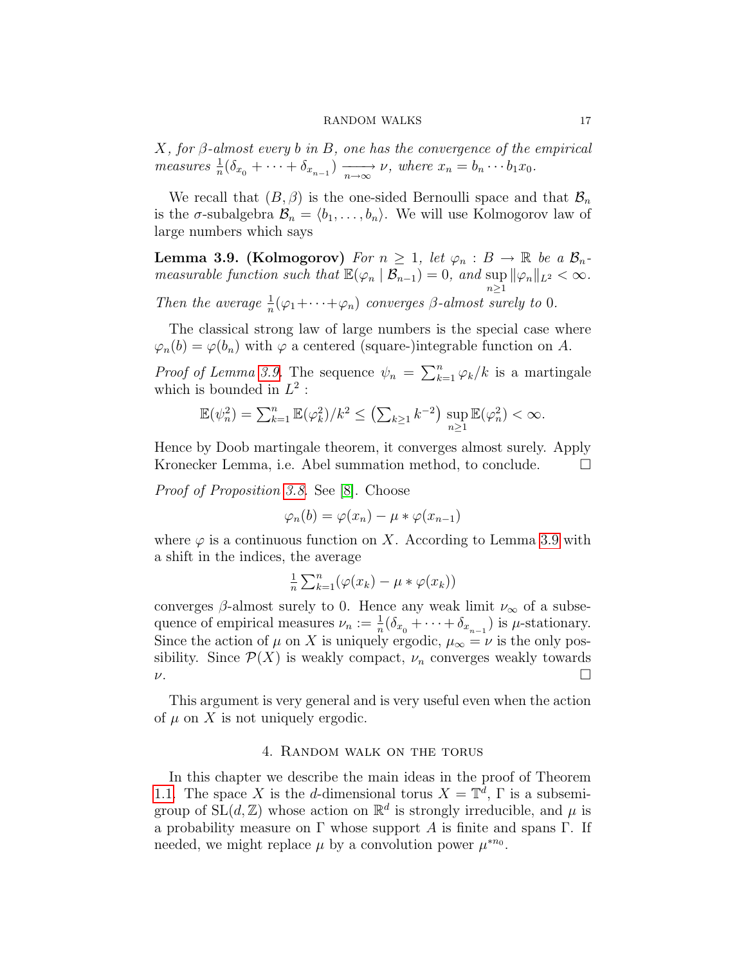$X$ , for  $\beta$ -almost every b in B, one has the convergence of the empirical measures  $\frac{1}{n}(\delta_{x_0} + \cdots + \delta_{x_{n-1}}) \xrightarrow[n \to \infty]{} \nu$ , where  $x_n = b_n \cdots b_1 x_0$ .

We recall that  $(B, \beta)$  is the one-sided Bernoulli space and that  $\mathcal{B}_n$ is the  $\sigma$ -subalgebra  $\mathcal{B}_n = \langle b_1, \ldots, b_n \rangle$ . We will use Kolmogorov law of large numbers which says

<span id="page-16-1"></span>**Lemma 3.9. (Kolmogorov)** For  $n \geq 1$ , let  $\varphi_n : B \to \mathbb{R}$  be a  $\mathcal{B}_n$ measurable function such that  $\mathbb{E}(\varphi_n \mid \mathcal{B}_{n-1}) = 0$ , and  $\sup_{n \geq 1} ||\varphi_n||_{L^2} < \infty$ . Then the average  $\frac{1}{n}(\varphi_1 + \cdots + \varphi_n)$  converges  $\beta$ -almost surely to 0.

The classical strong law of large numbers is the special case where  $\varphi_n(b) = \varphi(b_n)$  with  $\varphi$  a centered (square-)integrable function on A.

*Proof of Lemma [3.9.](#page-16-1)* The sequence  $\psi_n = \sum_{k=1}^n \varphi_k / k$  is a martingale which is bounded in  $L^2$ :

$$
\mathbb{E}(\psi_n^2) = \sum_{k=1}^n \mathbb{E}(\varphi_k^2)/k^2 \le \left(\sum_{k\ge 1} k^{-2}\right) \sup_{n\ge 1} \mathbb{E}(\varphi_n^2) < \infty.
$$

Hence by Doob martingale theorem, it converges almost surely. Apply Kronecker Lemma, i.e. Abel summation method, to conclude.  $\Box$ 

Proof of Proposition [3.8.](#page-15-2) See [\[8\]](#page-29-8). Choose

$$
\varphi_n(b) = \varphi(x_n) - \mu * \varphi(x_{n-1})
$$

where  $\varphi$  is a continuous function on X. According to Lemma [3.9](#page-16-1) with a shift in the indices, the average

$$
\frac{1}{n}\sum_{k=1}^n (\varphi(x_k) - \mu * \varphi(x_k))
$$

converges  $\beta$ -almost surely to 0. Hence any weak limit  $\nu_{\infty}$  of a subsequence of empirical measures  $\nu_n := \frac{1}{n} (\delta_{x_0} + \cdots + \delta_{x_{n-1}})$  is  $\mu$ -stationary. Since the action of  $\mu$  on X is uniquely ergodic,  $\mu_{\infty} = \nu$  is the only possibility. Since  $\mathcal{P}(X)$  is weakly compact,  $\nu_n$  converges weakly towards  $\nu$ .

This argument is very general and is very useful even when the action of  $\mu$  on X is not uniquely ergodic.

### 4. Random walk on the torus

<span id="page-16-0"></span>In this chapter we describe the main ideas in the proof of Theorem [1.1.](#page-3-1) The space X is the d-dimensional torus  $X = \mathbb{T}^d$ ,  $\Gamma$  is a subsemigroup of  $SL(d, \mathbb{Z})$  whose action on  $\mathbb{R}^d$  is strongly irreducible, and  $\mu$  is a probability measure on  $\Gamma$  whose support A is finite and spans  $\Gamma$ . If needed, we might replace  $\mu$  by a convolution power  $\mu^{*n_0}$ .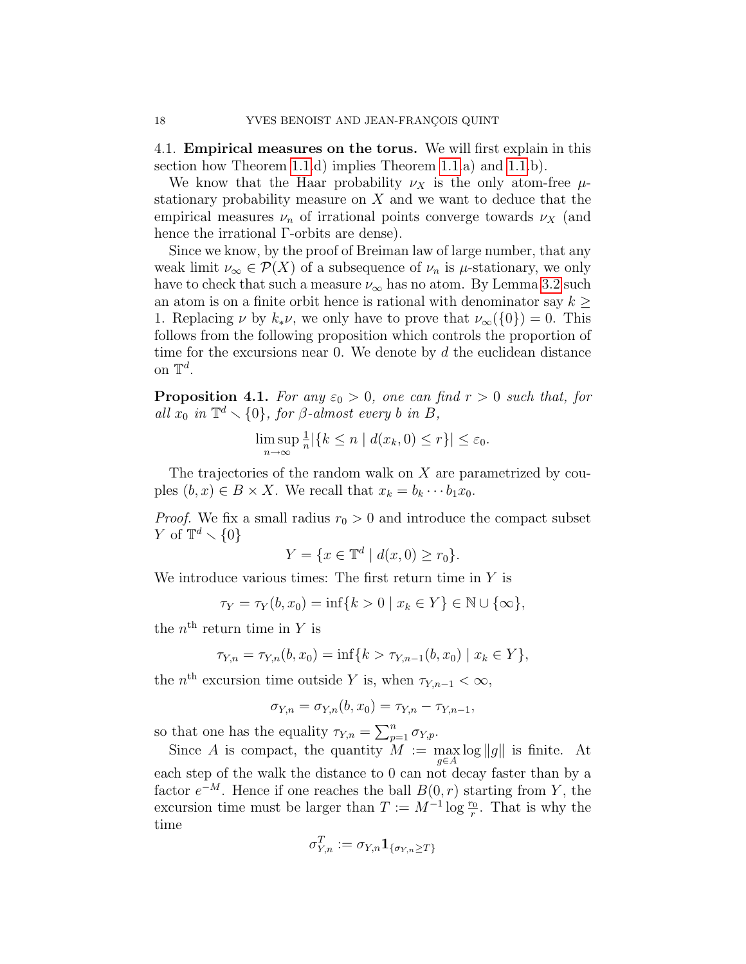<span id="page-17-0"></span>4.1. Empirical measures on the torus. We will first explain in this section how Theorem [1.1.](#page-3-1)d) implies Theorem [1.1.](#page-3-1)a) and [1.1.](#page-3-1)b).

We know that the Haar probability  $\nu_X$  is the only atom-free  $\mu$ stationary probability measure on  $X$  and we want to deduce that the empirical measures  $\nu_n$  of irrational points converge towards  $\nu_X$  (and hence the irrational Γ-orbits are dense).

Since we know, by the proof of Breiman law of large number, that any weak limit  $\nu_{\infty} \in \mathcal{P}(X)$  of a subsequence of  $\nu_n$  is  $\mu$ -stationary, we only have to check that such a measure  $\nu_{\infty}$  has no atom. By Lemma [3.2](#page-12-4) such an atom is on a finite orbit hence is rational with denominator say  $k \geq$ 1. Replacing  $\nu$  by  $k_*\nu$ , we only have to prove that  $\nu_{\infty}(\{0\})=0$ . This follows from the following proposition which controls the proportion of time for the excursions near 0. We denote by  $d$  the euclidean distance on  $\mathbb{T}^d$ .

<span id="page-17-1"></span>**Proposition 4.1.** For any  $\varepsilon_0 > 0$ , one can find  $r > 0$  such that, for all  $x_0$  in  $\mathbb{T}^d \setminus \{0\}$ , for  $\beta$ -almost every b in  $B$ ,

$$
\limsup_{n \to \infty} \frac{1}{n} |\{k \le n \mid d(x_k, 0) \le r\}| \le \varepsilon_0.
$$

The trajectories of the random walk on X are parametrized by couples  $(b, x) \in B \times X$ . We recall that  $x_k = b_k \cdots b_1 x_0$ .

*Proof.* We fix a small radius  $r_0 > 0$  and introduce the compact subset Y of  $\mathbb{T}^d \setminus \{0\}$ 

$$
Y = \{ x \in \mathbb{T}^d \mid d(x, 0) \ge r_0 \}.
$$

We introduce various times: The first return time in Y is

$$
\tau_Y = \tau_Y(b, x_0) = \inf\{k > 0 \mid x_k \in Y\} \in \mathbb{N} \cup \{\infty\},\
$$

the  $n^{\text{th}}$  return time in Y is

$$
\tau_{Y,n} = \tau_{Y,n}(b, x_0) = \inf\{k > \tau_{Y,n-1}(b, x_0) \mid x_k \in Y\},\
$$

the  $n^{\text{th}}$  excursion time outside Y is, when  $\tau_{Y,n-1} < \infty$ ,

$$
\sigma_{Y,n} = \sigma_{Y,n}(b, x_0) = \tau_{Y,n} - \tau_{Y,n-1},
$$

so that one has the equality  $\tau_{Y,n} = \sum_{p=1}^n \sigma_{Y,p}$ .

Since A is compact, the quantity  $M := \max_{g \in A} \log \|g\|$  is finite. At each step of the walk the distance to 0 can not decay faster than by a factor  $e^{-M}$ . Hence if one reaches the ball  $B(0,r)$  starting from Y, the excursion time must be larger than  $T := M^{-1} \log \frac{r_0}{r}$ . That is why the time

$$
\sigma_{Y\!,n}^T:=\sigma_{Y\!,n}{\bf 1}_{\{\sigma_{Y\!,n}\ge T\}}
$$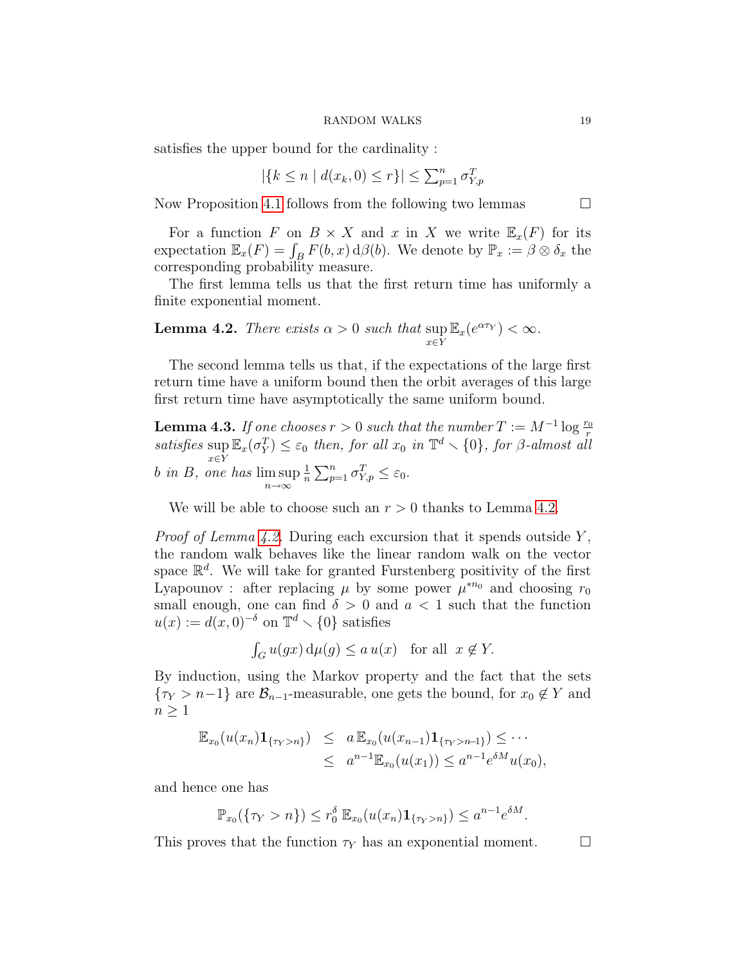satisfies the upper bound for the cardinality :

$$
|\{k \le n \mid d(x_k, 0) \le r\}| \le \sum_{p=1}^n \sigma_{Y, p}^T
$$

Now Proposition [4.1](#page-17-1) follows from the following two lemmas  $\Box$ 

For a function F on  $B \times X$  and x in X we write  $\mathbb{E}_x(F)$  for its expectation  $\mathbb{E}_x(F) = \int_B F(b, x) \, d\beta(b)$ . We denote by  $\mathbb{P}_x := \beta \otimes \delta_x$  the corresponding probability measure.

The first lemma tells us that the first return time has uniformly a finite exponential moment.

<span id="page-18-0"></span>**Lemma 4.2.** There exists  $\alpha > 0$  such that sup  $\sup_{x \in Y} \mathbb{E}_x(e^{\alpha \tau_Y}) < \infty.$ 

The second lemma tells us that, if the expectations of the large first return time have a uniform bound then the orbit averages of this large first return time have asymptotically the same uniform bound.

<span id="page-18-1"></span>**Lemma 4.3.** If one chooses  $r > 0$  such that the number  $T := M^{-1} \log \frac{r_0}{r}$ **EXECUTE: EXECUTE:**  $\sigma_Y^T$  or  $\sigma_Y^T$  or  $\sigma_Y^T$  or  $\sigma_Y^T$  all  $x_0$  in  $\mathbb{T}^d \setminus \{0\}$ , for  $\beta$ -almost all  $x{\in}Y$ b in B, one has lim sup n→∞ 1  $\frac{1}{n} \sum_{p=1}^n \sigma_{Y,p}^T \leq \varepsilon_0.$ 

We will be able to choose such an  $r > 0$  thanks to Lemma [4.2.](#page-18-0)

*Proof of Lemma [4.2.](#page-18-0)* During each excursion that it spends outside  $Y$ , the random walk behaves like the linear random walk on the vector space  $\mathbb{R}^d$ . We will take for granted Furstenberg positivity of the first Lyapounov : after replacing  $\mu$  by some power  $\mu^{*n_0}$  and choosing  $r_0$ small enough, one can find  $\delta > 0$  and  $a < 1$  such that the function  $u(x) := d(x, 0)^{-\delta}$  on  $\mathbb{T}^d \setminus \{0\}$  satisfies

$$
\int_G u(gx) d\mu(g) \le a u(x) \text{ for all } x \notin Y.
$$

By induction, using the Markov property and the fact that the sets  $\{\tau_Y > n-1\}$  are  $\mathcal{B}_{n-1}$ -measurable, one gets the bound, for  $x_0 \notin Y$  and  $n \geq 1$ 

$$
\mathbb{E}_{x_0}(u(x_n)\mathbf{1}_{\{\tau_Y > n\}}) \leq a \mathbb{E}_{x_0}(u(x_{n-1})\mathbf{1}_{\{\tau_Y > n-1\}}) \leq \cdots \leq a^{n-1} \mathbb{E}_{x_0}(u(x_1)) \leq a^{n-1} e^{\delta M} u(x_0),
$$

and hence one has

$$
\mathbb{P}_{x_0}(\{\tau_Y > n\}) \leq r_0^{\delta} \mathbb{E}_{x_0}(u(x_n) \mathbf{1}_{\{\tau_Y > n\}}) \leq a^{n-1} e^{\delta M}.
$$

This proves that the function  $\tau_Y$  has an exponential moment.  $\Box$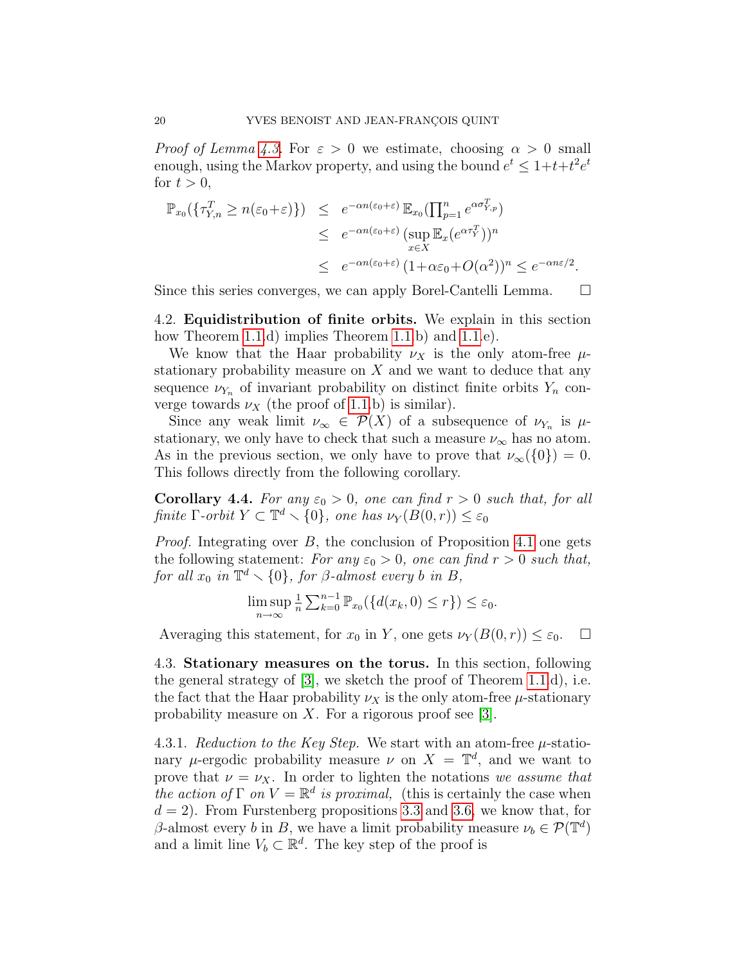*Proof of Lemma [4.3.](#page-18-1)* For  $\varepsilon > 0$  we estimate, choosing  $\alpha > 0$  small enough, using the Markov property, and using the bound  $e^t \leq 1+t+t^2e^t$ for  $t > 0$ ,

$$
\mathbb{P}_{x_0}(\{\tau_{Y,n}^T \ge n(\varepsilon_0 + \varepsilon)\}) \le e^{-\alpha n(\varepsilon_0 + \varepsilon)} \mathbb{E}_{x_0}(\prod_{p=1}^n e^{\alpha \sigma_{Y,p}^T})
$$
  
\n
$$
\le e^{-\alpha n(\varepsilon_0 + \varepsilon)} (\sup_{x \in X} \mathbb{E}_x(e^{\alpha \tau_Y^T}))^n
$$
  
\n
$$
\le e^{-\alpha n(\varepsilon_0 + \varepsilon)} (1 + \alpha \varepsilon_0 + O(\alpha^2))^n \le e^{-\alpha n \varepsilon/2}.
$$

Since this series converges, we can apply Borel-Cantelli Lemma.  $\square$ 

<span id="page-19-0"></span>4.2. Equidistribution of finite orbits. We explain in this section how Theorem [1.1.](#page-3-1)d) implies Theorem 1.1.b) and 1.1.e).

We know that the Haar probability  $\nu_X$  is the only atom-free  $\mu$ stationary probability measure on  $X$  and we want to deduce that any sequence  $\nu_{Y_n}$  of invariant probability on distinct finite orbits  $Y_n$  converge towards  $\nu_X$  (the proof of [1.1.](#page-3-1)b) is similar).

Since any weak limit  $\nu_{\infty} \in \mathcal{P}(X)$  of a subsequence of  $\nu_{Y_n}$  is  $\mu$ stationary, we only have to check that such a measure  $\nu_{\infty}$  has no atom. As in the previous section, we only have to prove that  $\nu_{\infty}(\{0\})=0$ . This follows directly from the following corollary.

**Corollary 4.4.** For any  $\varepsilon_0 > 0$ , one can find  $r > 0$  such that, for all finite  $\Gamma$ -orbit  $Y \subset \mathbb{T}^d \setminus \{0\}$ , one has  $\nu_Y(B(0,r)) \leq \varepsilon_0$ 

*Proof.* Integrating over  $B$ , the conclusion of Proposition [4.1](#page-17-1) one gets the following statement: For any  $\varepsilon_0 > 0$ , one can find  $r > 0$  such that, for all  $x_0$  in  $\mathbb{T}^d \setminus \{0\}$ , for  $\beta$ -almost every b in B,

$$
\limsup_{n \to \infty} \frac{1}{n} \sum_{k=0}^{n-1} \mathbb{P}_{x_0}(\{d(x_k, 0) \le r\}) \le \varepsilon_0.
$$

Averaging this statement, for  $x_0$  in Y, one gets  $\nu_Y(B(0,r)) \leq \varepsilon_0$ .  $\Box$ 

<span id="page-19-1"></span>4.3. Stationary measures on the torus. In this section, following the general strategy of [\[3\]](#page-29-4), we sketch the proof of Theorem [1.1.](#page-3-1)d), i.e. the fact that the Haar probability  $\nu_X$  is the only atom-free  $\mu$ -stationary probability measure on  $X$ . For a rigorous proof see [\[3\]](#page-29-4).

<span id="page-19-2"></span>4.3.1. Reduction to the Key Step. We start with an atom-free  $\mu$ -stationary  $\mu$ -ergodic probability measure  $\nu$  on  $X = \mathbb{T}^d$ , and we want to prove that  $\nu = \nu_X$ . In order to lighten the notations we assume that the action of  $\Gamma$  on  $V = \mathbb{R}^d$  is proximal, (this is certainly the case when  $d = 2$ ). From Furstenberg propositions [3.3](#page-12-3) and [3.6,](#page-15-3) we know that, for β-almost every b in B, we have a limit probability measure  $\nu_b \in \mathcal{P}(\mathbb{T}^d)$ and a limit line  $V_b \subset \mathbb{R}^d$ . The key step of the proof is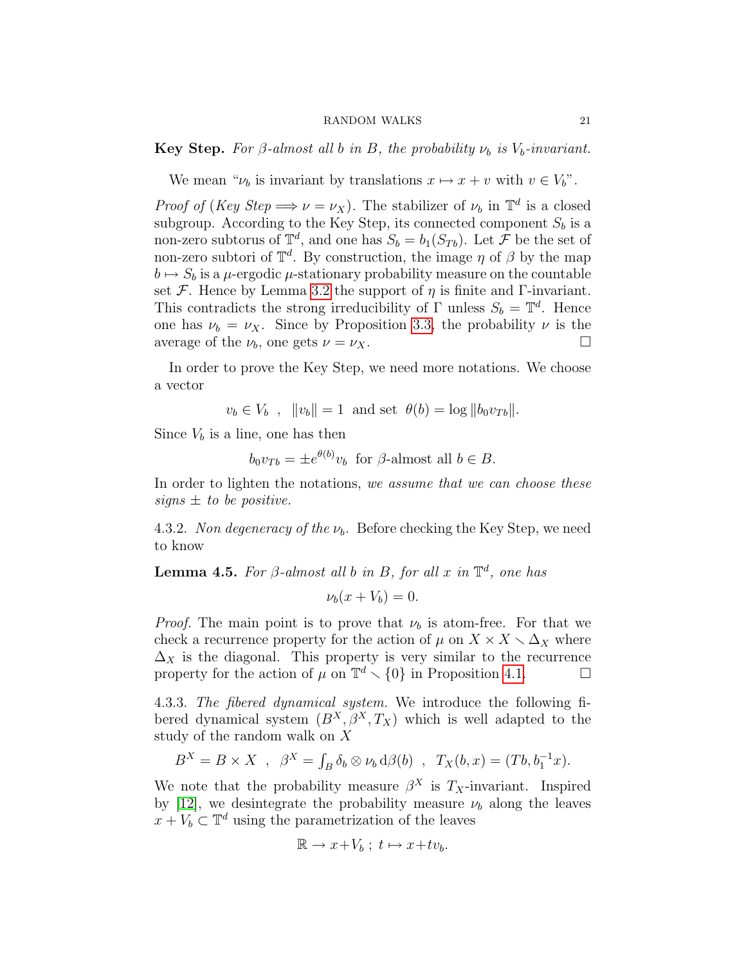**Key Step.** For  $\beta$ -almost all b in B, the probability  $\nu_b$  is  $V_b$ -invariant.

We mean " $\nu_b$  is invariant by translations  $x \mapsto x + v$  with  $v \in V_b$ ".

*Proof of (Key Step*  $\Longrightarrow \nu = \nu_X$ ). The stabilizer of  $\nu_b$  in  $\mathbb{T}^d$  is a closed subgroup. According to the Key Step, its connected component  $S_b$  is a non-zero subtorus of  $\mathbb{T}^d$ , and one has  $S_b = b_1(S_{T_b})$ . Let  $\mathcal{F}$  be the set of non-zero subtori of  $\mathbb{T}^d$ . By construction, the image  $\eta$  of  $\beta$  by the map  $b \mapsto S_b$  is a  $\mu$ -ergodic  $\mu$ -stationary probability measure on the countable set F. Hence by Lemma [3.2](#page-12-4) the support of  $\eta$  is finite and Γ-invariant. This contradicts the strong irreducibility of  $\Gamma$  unless  $S_b = \mathbb{T}^d$ . Hence one has  $\nu_b = \nu_X$ . Since by Proposition [3.3,](#page-12-3) the probability  $\nu$  is the average of the  $\nu_b$ , one gets  $\nu = \nu_X$ .

In order to prove the Key Step, we need more notations. We choose a vector

 $v_b \in V_b$ ,  $||v_b|| = 1$  and set  $\theta(b) = \log ||b_0v_{Tb}||$ .

Since  $V_b$  is a line, one has then

 $b_0 v_{Tb} = \pm e^{\theta(b)} v_b$  for  $\beta$ -almost all  $b \in B$ .

In order to lighten the notations, we assume that we can choose these signs  $\pm$  to be positive.

4.3.2. Non degeneracy of the  $\nu_b$ . Before checking the Key Step, we need to know

<span id="page-20-0"></span>**Lemma 4.5.** For  $\beta$ -almost all b in B, for all x in  $\mathbb{T}^d$ , one has

 $\nu_b(x + V_b) = 0.$ 

*Proof.* The main point is to prove that  $\nu_b$  is atom-free. For that we check a recurrence property for the action of  $\mu$  on  $X \times X \setminus \Delta_X$  where  $\Delta_X$  is the diagonal. This property is very similar to the recurrence property for the action of  $\mu$  on  $\mathbb{T}^d \setminus \{0\}$  in Proposition [4.1.](#page-17-1)

4.3.3. The fibered dynamical system. We introduce the following fibered dynamical system  $(B^X, \beta^X, T_X)$  which is well adapted to the study of the random walk on X

$$
B^X = B \times X \ , \ \beta^X = \int_B \delta_b \otimes \nu_b \, d\beta(b) \ , \ T_X(b, x) = (Tb, b_1^{-1}x).
$$

We note that the probability measure  $\beta^X$  is  $T_X$ -invariant. Inspired by [\[12\]](#page-29-9), we desintegrate the probability measure  $\nu_b$  along the leaves  $x + V_b \subset \mathbb{T}^d$  using the parametrization of the leaves

$$
\mathbb{R} \to x + V_b \; ; \; t \mapsto x + tv_b.
$$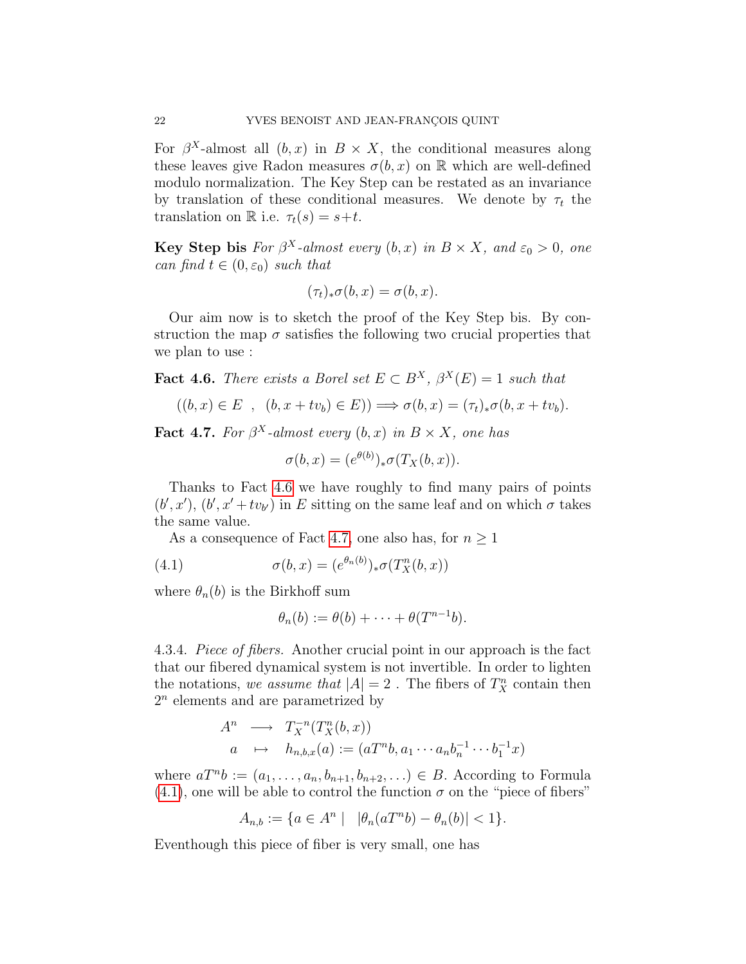For  $\beta^X$ -almost all  $(b, x)$  in  $B \times X$ , the conditional measures along these leaves give Radon measures  $\sigma(b, x)$  on R which are well-defined modulo normalization. The Key Step can be restated as an invariance by translation of these conditional measures. We denote by  $\tau_t$  the translation on R i.e.  $\tau_t(s) = s + t$ .

**Key Step bis** For  $\beta^X$ -almost every  $(b, x)$  in  $B \times X$ , and  $\varepsilon_0 > 0$ , one can find  $t \in (0, \varepsilon_0)$  such that

$$
(\tau_t)_*\sigma(b,x)=\sigma(b,x).
$$

Our aim now is to sketch the proof of the Key Step bis. By construction the map  $\sigma$  satisfies the following two crucial properties that we plan to use :

<span id="page-21-0"></span>**Fact 4.6.** There exists a Borel set  $E \subset B^X$ ,  $\beta^X(E) = 1$  such that

$$
((b, x) \in E, (b, x + tv_b) \in E)) \Longrightarrow \sigma(b, x) = (\tau_t)_* \sigma(b, x + tv_b).
$$

<span id="page-21-1"></span>**Fact 4.7.** For  $\beta^X$ -almost every  $(b, x)$  in  $B \times X$ , one has

$$
\sigma(b, x) = (e^{\theta(b)})_* \sigma(T_X(b, x)).
$$

Thanks to Fact [4.6](#page-21-0) we have roughly to find many pairs of points  $(b', x')$ ,  $(b', x' + tv_{b'})$  in E sitting on the same leaf and on which  $\sigma$  takes the same value.

As a consequence of Fact [4.7,](#page-21-1) one also has, for  $n \geq 1$ 

(4.1) 
$$
\sigma(b, x) = (e^{\theta_n(b)})_* \sigma(T_X^n(b, x))
$$

where  $\theta_n(b)$  is the Birkhoff sum

<span id="page-21-2"></span>
$$
\theta_n(b) := \theta(b) + \cdots + \theta(T^{n-1}b).
$$

4.3.4. Piece of fibers. Another crucial point in our approach is the fact that our fibered dynamical system is not invertible. In order to lighten the notations, we assume that  $|A| = 2$ . The fibers of  $T_X^n$  contain then  $2<sup>n</sup>$  elements and are parametrized by

$$
A^n \longrightarrow T_X^{-n}(T_X^n(b, x))
$$
  
\n
$$
a \mapsto h_{n,b,x}(a) := (aT^n b, a_1 \cdots a_n b_n^{-1} \cdots b_1^{-1} x)
$$

where  $aT^{n}b := (a_1, \ldots, a_n, b_{n+1}, b_{n+2}, \ldots) \in B$ . According to Formula [\(4.1\)](#page-21-2), one will be able to control the function  $\sigma$  on the "piece of fibers"

$$
A_{n,b} := \{ a \in A^n \mid \ |\theta_n(aT^n b) - \theta_n(b)| < 1 \}.
$$

<span id="page-21-3"></span>Eventhough this piece of fiber is very small, one has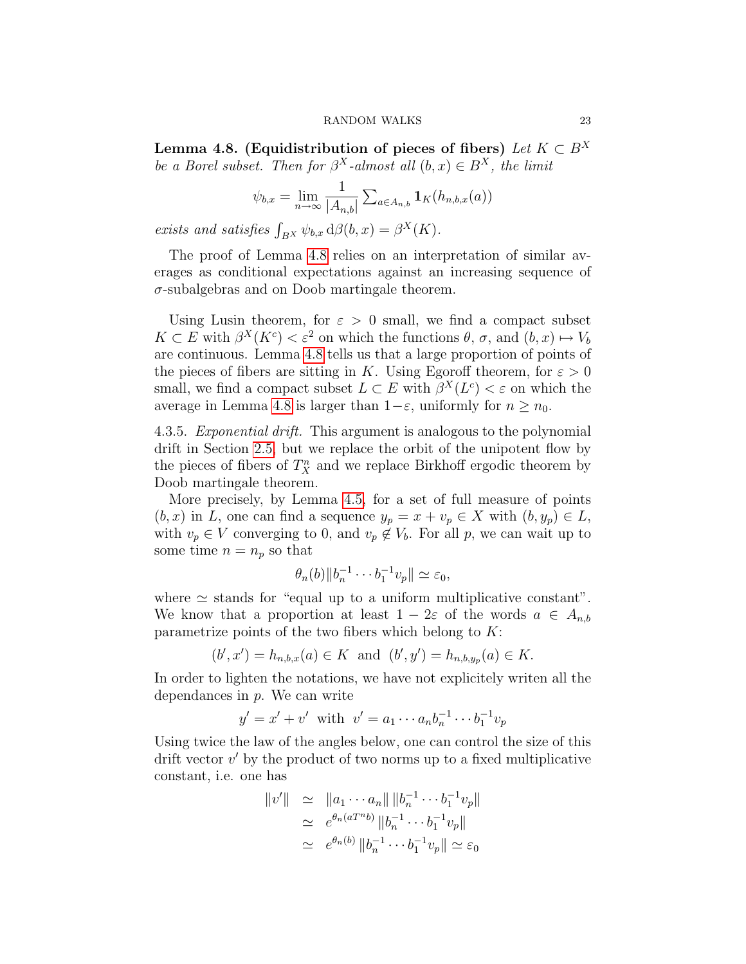Lemma 4.8. (Equidistribution of pieces of fibers) Let  $K \subset B^X$ be a Borel subset. Then for  $\beta^X$ -almost all  $(b, x) \in B^X$ , the limit

$$
\psi_{b,x} = \lim_{n \to \infty} \frac{1}{|A_{n,b}|} \sum_{a \in A_{n,b}} \mathbf{1}_K(h_{n,b,x}(a))
$$

exists and satisfies  $\int_{B^X} \psi_{b,x} d\beta(b,x) = \beta^X(K)$ .

The proof of Lemma [4.8](#page-21-3) relies on an interpretation of similar averages as conditional expectations against an increasing sequence of  $\sigma$ -subalgebras and on Doob martingale theorem.

Using Lusin theorem, for  $\varepsilon > 0$  small, we find a compact subset  $K \subset E$  with  $\beta^X(K^c) < \varepsilon^2$  on which the functions  $\theta$ ,  $\sigma$ , and  $(b, x) \mapsto V_b$ are continuous. Lemma [4.8](#page-21-3) tells us that a large proportion of points of the pieces of fibers are sitting in K. Using Egoroff theorem, for  $\varepsilon > 0$ small, we find a compact subset  $L \subset E$  with  $\beta^X(L^c) < \varepsilon$  on which the average in Lemma [4.8](#page-21-3) is larger than  $1-\varepsilon$ , uniformly for  $n \geq n_0$ .

4.3.5. Exponential drift. This argument is analogous to the polynomial drift in Section [2.5,](#page-11-0) but we replace the orbit of the unipotent flow by the pieces of fibers of  $T_X^n$  and we replace Birkhoff ergodic theorem by Doob martingale theorem.

More precisely, by Lemma [4.5,](#page-20-0) for a set of full measure of points  $(b, x)$  in L, one can find a sequence  $y_p = x + v_p \in X$  with  $(b, y_p) \in L$ , with  $v_p \in V$  converging to 0, and  $v_p \notin V_b$ . For all p, we can wait up to some time  $n = n_p$  so that

$$
\theta_n(b)\|b_n^{-1}\cdots b_1^{-1}v_p\|\simeq \varepsilon_0,
$$

where  $\simeq$  stands for "equal up to a uniform multiplicative constant". We know that a proportion at least  $1 - 2\varepsilon$  of the words  $a \in A_{n,b}$ parametrize points of the two fibers which belong to  $K$ :

$$
(b', x') = h_{n,b,x}(a) \in K
$$
 and  $(b', y') = h_{n,b,y_p}(a) \in K$ .

In order to lighten the notations, we have not explicitely writen all the dependances in  $p$ . We can write

$$
y' = x' + v'
$$
 with  $v' = a_1 \cdots a_n b_n^{-1} \cdots b_1^{-1} v_p$ 

Using twice the law of the angles below, one can control the size of this drift vector  $v'$  by the product of two norms up to a fixed multiplicative constant, i.e. one has

$$
||v'|| \simeq ||a_1 \cdots a_n|| ||b_n^{-1} \cdots b_1^{-1} v_p||
$$
  
\n
$$
\simeq e^{\theta_n (aT^n b)} ||b_n^{-1} \cdots b_1^{-1} v_p||
$$
  
\n
$$
\simeq e^{\theta_n (b)} ||b_n^{-1} \cdots b_1^{-1} v_p|| \simeq \varepsilon_0
$$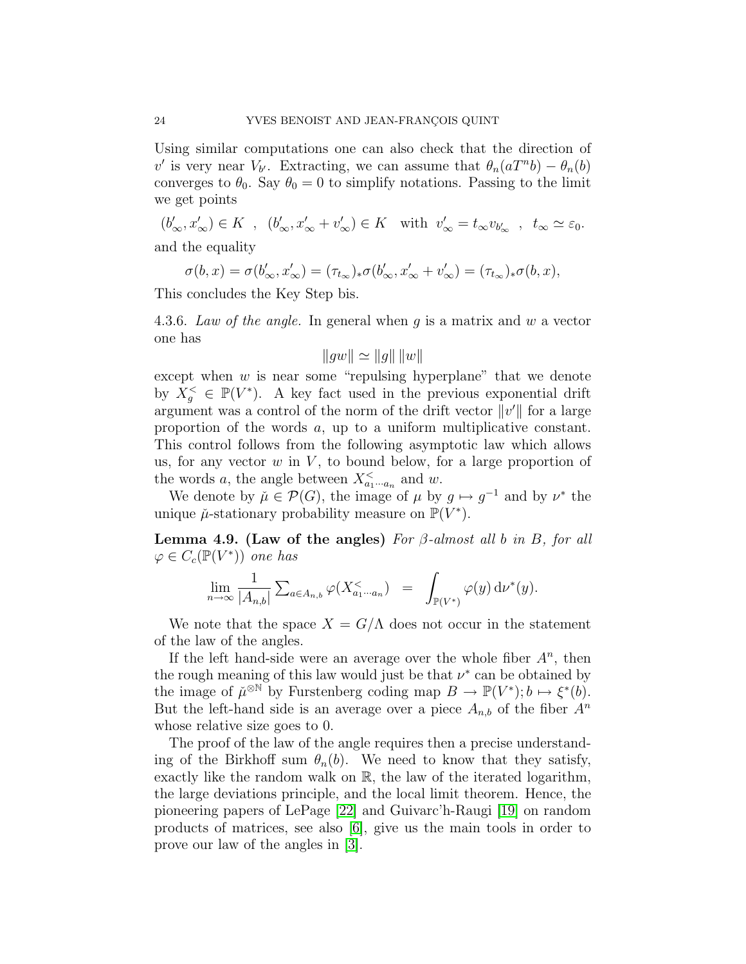Using similar computations one can also check that the direction of v' is very near  $V_{b'}$ . Extracting, we can assume that  $\theta_n(aT^n b) - \theta_n(b)$ converges to  $\theta_0$ . Say  $\theta_0 = 0$  to simplify notations. Passing to the limit we get points

 $(b'_\infty, x'_\infty) \in K$ ,  $(b'_\infty, x'_\infty + v'_\infty) \in K$  with  $v'_\infty = t_\infty v_{b'_\infty}$ ,  $t_\infty \simeq \varepsilon_0$ . and the equality

$$
\sigma(b,x)=\sigma(b'_\infty,x'_\infty)=(\tau_{t_\infty})_*\sigma(b'_\infty,x'_\infty+v'_\infty)=(\tau_{t_\infty})_*\sigma(b,x),
$$

This concludes the Key Step bis.

4.3.6. Law of the angle. In general when  $g$  is a matrix and  $w$  a vector one has

$$
||gw|| \simeq ||g|| \, ||w||
$$

except when  $w$  is near some "repulsing hyperplane" that we denote by  $X_g^{\lt} \in \mathbb{P}(V^*)$ . A key fact used in the previous exponential drift argument was a control of the norm of the drift vector  $||v'||$  for a large proportion of the words a, up to a uniform multiplicative constant. This control follows from the following asymptotic law which allows us, for any vector  $w$  in  $V$ , to bound below, for a large proportion of the words a, the angle between  $X_{a_1\cdots a_n}^{\lt}$  and w.

We denote by  $\mu \in \mathcal{P}(G)$ , the image of  $\mu$  by  $g \mapsto g^{-1}$  and by  $\nu^*$  the unique  $\mu$ -stationary probability measure on  $\mathbb{P}(V^*)$ .

Lemma 4.9. (Law of the angles) For  $\beta$ -almost all b in B, for all  $\varphi \in C_c(\mathbb{P}(V^*))$  one has

$$
\lim_{n\to\infty}\frac{1}{|A_{n,b}|}\sum_{a\in A_{n,b}}\varphi(X^{\lt}_{a_1\cdots a_n})\;\;=\;\;\int_{\mathbb{P}(V^*)}\varphi(y)\,\mathrm{d}\nu^*(y).
$$

We note that the space  $X = G/\Lambda$  does not occur in the statement of the law of the angles.

If the left hand-side were an average over the whole fiber  $A<sup>n</sup>$ , then the rough meaning of this law would just be that  $\nu^*$  can be obtained by the image of  $\mu^{\otimes N}$  by Furstenberg coding map  $B \to \mathbb{P}(V^*); b \mapsto \xi^*(b)$ . But the left-hand side is an average over a piece  $A_{n,b}$  of the fiber  $A^n$ whose relative size goes to 0.

The proof of the law of the angle requires then a precise understanding of the Birkhoff sum  $\theta_n(b)$ . We need to know that they satisfy, exactly like the random walk on R, the law of the iterated logarithm, the large deviations principle, and the local limit theorem. Hence, the pioneering papers of LePage [\[22\]](#page-30-7) and Guivarc'h-Raugi [\[19\]](#page-30-8) on random products of matrices, see also [\[6\]](#page-29-7), give us the main tools in order to prove our law of the angles in [\[3\]](#page-29-4).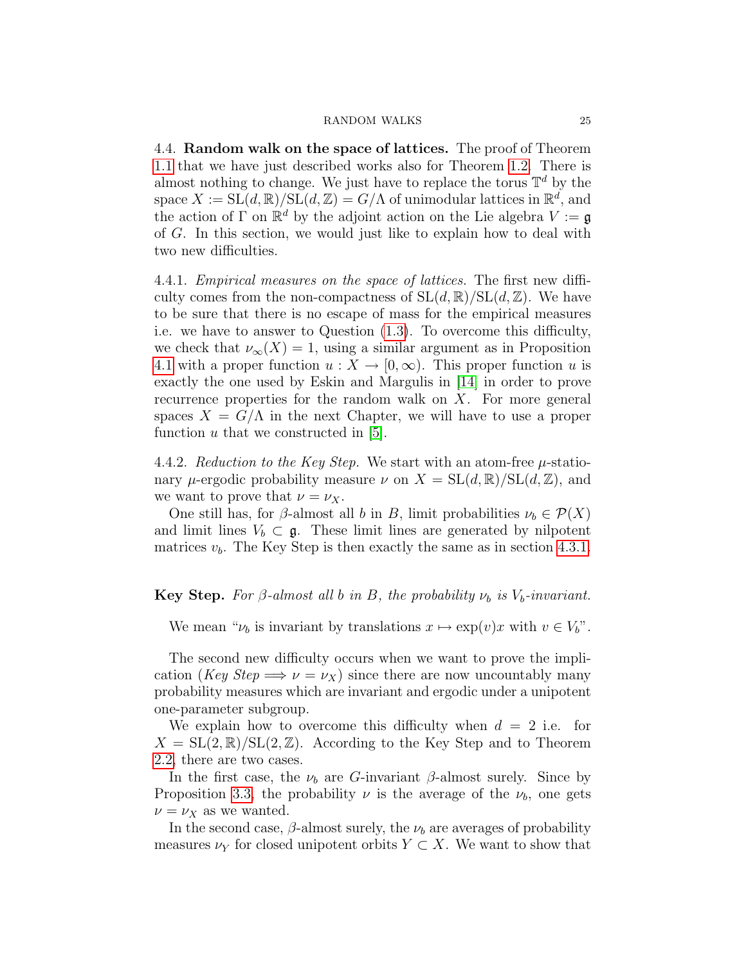<span id="page-24-0"></span>4.4. Random walk on the space of lattices. The proof of Theorem [1.1](#page-3-1) that we have just described works also for Theorem [1.2.](#page-4-0) There is almost nothing to change. We just have to replace the torus  $\mathbb{T}^d$  by the space  $X := SL(d, \mathbb{R})/SL(d, \mathbb{Z}) = G/\Lambda$  of unimodular lattices in  $\mathbb{R}^d$ , and the action of  $\Gamma$  on  $\mathbb{R}^d$  by the adjoint action on the Lie algebra  $V := \mathfrak{g}$ of G. In this section, we would just like to explain how to deal with two new difficulties.

4.4.1. Empirical measures on the space of lattices. The first new difficulty comes from the non-compactness of  $SL(d, \mathbb{R})/SL(d, \mathbb{Z})$ . We have to be sure that there is no escape of mass for the empirical measures i.e. we have to answer to Question [\(1.3\)](#page-2-1). To overcome this difficulty, we check that  $\nu_{\infty}(X) = 1$ , using a similar argument as in Proposition [4.1](#page-17-1) with a proper function  $u: X \to [0, \infty)$ . This proper function u is exactly the one used by Eskin and Margulis in [\[14\]](#page-29-10) in order to prove recurrence properties for the random walk on X. For more general spaces  $X = G/\Lambda$  in the next Chapter, we will have to use a proper function  $u$  that we constructed in [\[5\]](#page-29-5).

4.4.2. Reduction to the Key Step. We start with an atom-free  $\mu$ -stationary  $\mu$ -ergodic probability measure  $\nu$  on  $X = SL(d, \mathbb{R})/SL(d, \mathbb{Z})$ , and we want to prove that  $\nu = \nu_X$ .

One still has, for  $\beta$ -almost all b in B, limit probabilities  $\nu_b \in \mathcal{P}(X)$ and limit lines  $V_b \subset \mathfrak{g}$ . These limit lines are generated by nilpotent matrices  $v<sub>b</sub>$ . The Key Step is then exactly the same as in section [4.3.1.](#page-19-2)

### **Key Step.** For  $\beta$ -almost all b in B, the probability  $\nu_b$  is  $V_b$ -invariant.

We mean " $\nu_b$  is invariant by translations  $x \mapsto \exp(v)x$  with  $v \in V_b$ ".

The second new difficulty occurs when we want to prove the implication (Key Step  $\Longrightarrow \nu = \nu_X$ ) since there are now uncountably many probability measures which are invariant and ergodic under a unipotent one-parameter subgroup.

We explain how to overcome this difficulty when  $d = 2$  i.e. for  $X = SL(2,\mathbb{R})/SL(2,\mathbb{Z})$ . According to the Key Step and to Theorem [2.2,](#page-11-2) there are two cases.

In the first case, the  $\nu_b$  are G-invariant β-almost surely. Since by Proposition [3.3,](#page-12-3) the probability  $\nu$  is the average of the  $\nu_b$ , one gets  $\nu = \nu_X$  as we wanted.

In the second case,  $\beta$ -almost surely, the  $\nu_b$  are averages of probability measures  $\nu_Y$  for closed unipotent orbits  $Y \subset X$ . We want to show that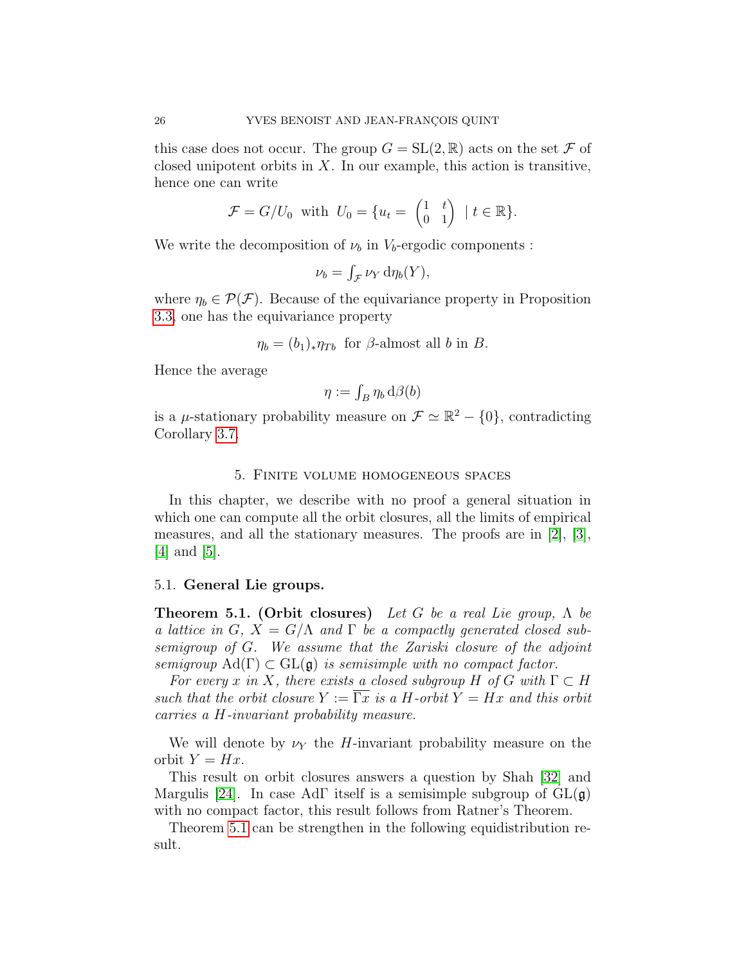this case does not occur. The group  $G = SL(2, \mathbb{R})$  acts on the set  $\mathcal F$  of closed unipotent orbits in  $X$ . In our example, this action is transitive, hence one can write

$$
\mathcal{F} = G/U_0 \quad \text{with} \quad U_0 = \{ u_t = \begin{pmatrix} 1 & t \\ 0 & 1 \end{pmatrix} \mid t \in \mathbb{R} \}.
$$

We write the decomposition of  $\nu_b$  in  $V_b$ -ergodic components :

$$
\nu_b = \int_{\mathcal{F}} \nu_Y \, \mathrm{d}\eta_b(Y),
$$

where  $\eta_b \in \mathcal{P}(\mathcal{F})$ . Because of the equivariance property in Proposition [3.3,](#page-12-3) one has the equivariance property

$$
\eta_b = (b_1)_* \eta_{Tb}
$$
 for  $\beta$ -almost all b in B.

Hence the average

$$
\eta:=\int_B\eta_b\,\mathrm{d}\beta(b)
$$

is a  $\mu$ -stationary probability measure on  $\mathcal{F} \simeq \mathbb{R}^2 - \{0\}$ , contradicting Corollary [3.7.](#page-15-4)

### 5. Finite volume homogeneous spaces

<span id="page-25-0"></span>In this chapter, we describe with no proof a general situation in which one can compute all the orbit closures, all the limits of empirical measures, and all the stationary measures. The proofs are in [\[2\]](#page-29-2), [\[3\]](#page-29-4), [\[4\]](#page-29-3) and [\[5\]](#page-29-5).

### <span id="page-25-2"></span><span id="page-25-1"></span>5.1. General Lie groups.

**Theorem 5.1. (Orbit closures)** Let G be a real Lie group,  $\Lambda$  be a lattice in G,  $X = G/\Lambda$  and  $\Gamma$  be a compactly generated closed subsemigroup of G. We assume that the Zariski closure of the adjoint semigroup  $\text{Ad}(\Gamma) \subset \text{GL}(\mathfrak{g})$  is semisimple with no compact factor.

For every x in X, there exists a closed subgroup H of G with  $\Gamma \subset H$ such that the orbit closure  $Y := \Gamma x$  is a H-orbit  $Y = Hx$  and this orbit carries a H-invariant probability measure.

We will denote by  $\nu_Y$  the *H*-invariant probability measure on the orbit  $Y = Hx$ .

This result on orbit closures answers a question by Shah [\[32\]](#page-30-9) and Margulis [\[24\]](#page-30-10). In case AdF itself is a semisimple subgroup of  $GL(\mathfrak{g})$ with no compact factor, this result follows from Ratner's Theorem.

<span id="page-25-3"></span>Theorem [5.1](#page-25-2) can be strengthen in the following equidistribution result.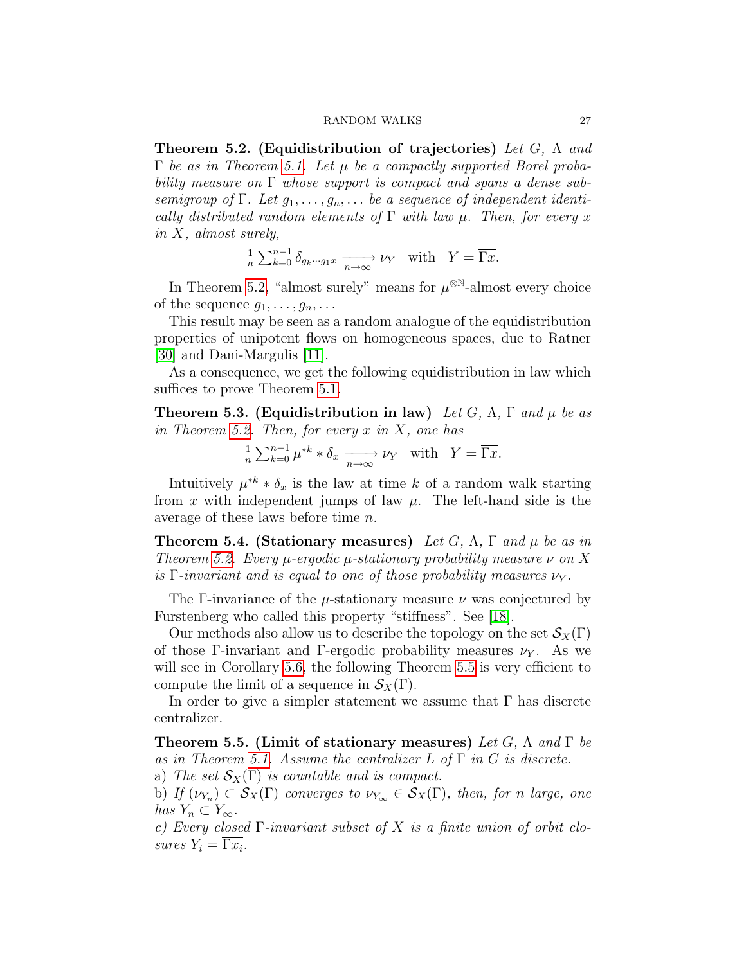Theorem 5.2. (Equidistribution of trajectories) Let G,  $\Lambda$  and  $\Gamma$  be as in Theorem [5.1.](#page-25-2) Let  $\mu$  be a compactly supported Borel probability measure on  $\Gamma$  whose support is compact and spans a dense subsemigroup of  $\Gamma$ . Let  $g_1, \ldots, g_n, \ldots$  be a sequence of independent identically distributed random elements of  $\Gamma$  with law  $\mu$ . Then, for every x in X, almost surely,

$$
\frac{1}{n} \sum_{k=0}^{n-1} \delta_{g_k \cdots g_1 x} \xrightarrow[n \to \infty]{} \nu_Y \quad \text{with} \quad Y = \overline{\Gamma x}.
$$

In Theorem [5.2,](#page-25-3) "almost surely" means for  $\mu^{\otimes N}$ -almost every choice of the sequence  $g_1, \ldots, g_n, \ldots$ 

This result may be seen as a random analogue of the equidistribution properties of unipotent flows on homogeneous spaces, due to Ratner [\[30\]](#page-30-3) and Dani-Margulis [\[11\]](#page-29-6).

As a consequence, we get the following equidistribution in law which suffices to prove Theorem [5.1.](#page-25-2)

<span id="page-26-1"></span>**Theorem 5.3. (Equidistribution in law)** Let G,  $\Lambda$ ,  $\Gamma$  and  $\mu$  be as in Theorem [5.2.](#page-25-3) Then, for every  $x$  in  $X$ , one has

$$
\frac{1}{n} \sum_{k=0}^{n-1} \mu^{*k} * \delta_x \xrightarrow[n \to \infty]{} \nu_Y \quad \text{with} \quad Y = \overline{\Gamma x}.
$$

Intuitively  $\mu^{*k} * \delta_x$  is the law at time k of a random walk starting from x with independent jumps of law  $\mu$ . The left-hand side is the average of these laws before time n.

<span id="page-26-2"></span>**Theorem 5.4. (Stationary measures)** Let G,  $\Lambda$ ,  $\Gamma$  and  $\mu$  be as in Theorem [5.2.](#page-25-3) Every  $\mu$ -ergodic  $\mu$ -stationary probability measure  $\nu$  on X is Γ-invariant and is equal to one of those probability measures  $\nu_Y$ .

The Γ-invariance of the  $\mu$ -stationary measure  $\nu$  was conjectured by Furstenberg who called this property "stiffness". See [\[18\]](#page-30-11).

Our methods also allow us to describe the topology on the set  $\mathcal{S}_X(\Gamma)$ of those Γ-invariant and Γ-ergodic probability measures  $\nu_Y$ . As we will see in Corollary [5.6,](#page-27-2) the following Theorem [5.5](#page-26-0) is very efficient to compute the limit of a sequence in  $S_X(\Gamma)$ .

In order to give a simpler statement we assume that  $\Gamma$  has discrete centralizer.

<span id="page-26-0"></span>Theorem 5.5. (Limit of stationary measures) Let G,  $\Lambda$  and  $\Gamma$  be as in Theorem [5.1.](#page-25-2) Assume the centralizer L of  $\Gamma$  in G is discrete.

a) The set  $\mathcal{S}_X(\Gamma)$  is countable and is compact.

b) If  $(\nu_{Y_n}) \subset \mathcal{S}_X(\Gamma)$  converges to  $\nu_{Y_\infty} \in \mathcal{S}_X(\Gamma)$ , then, for n large, one has  $Y_n \subset Y_\infty$ .

c) Every closed  $\Gamma$ -invariant subset of X is a finite union of orbit closures  $Y_i = \overline{\Gamma x_i}$ .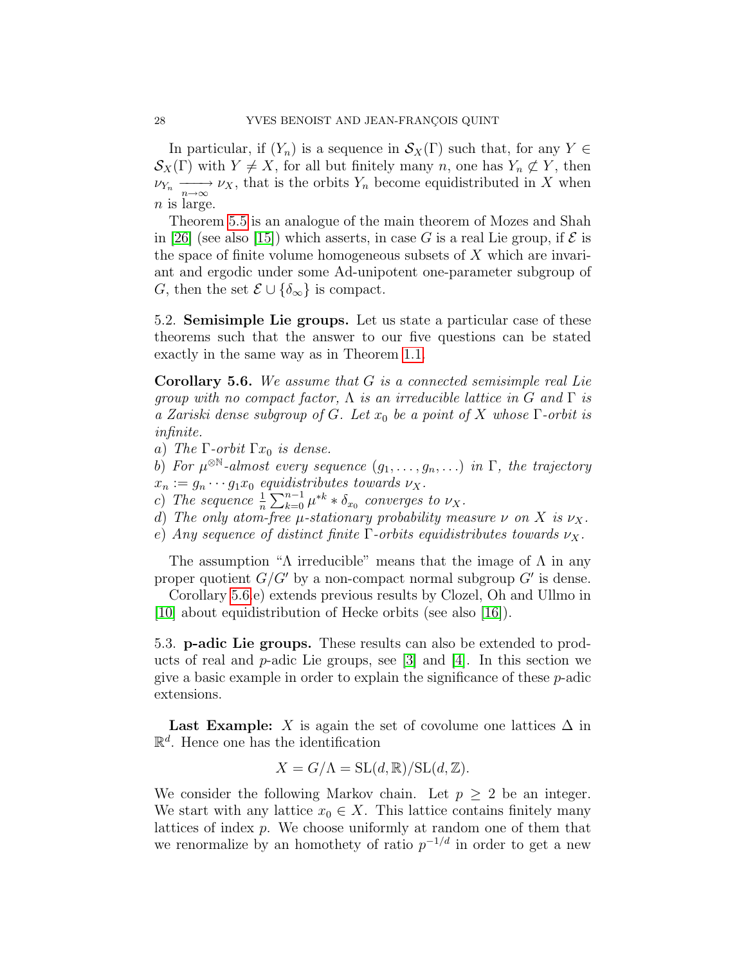In particular, if  $(Y_n)$  is a sequence in  $\mathcal{S}_X(\Gamma)$  such that, for any  $Y \in$  $\mathcal{S}_X(\Gamma)$  with  $Y \neq X$ , for all but finitely many n, one has  $Y_n \not\subset Y$ , then  $\nu_{Y_n} \longrightarrow \nu_X$ , that is the orbits  $Y_n$  become equidistributed in X when  $n$  is large.

Theorem [5.5](#page-26-0) is an analogue of the main theorem of Mozes and Shah in [\[26\]](#page-30-12) (see also [\[15\]](#page-29-11)) which asserts, in case G is a real Lie group, if  $\mathcal E$  is the space of finite volume homogeneous subsets of  $X$  which are invariant and ergodic under some Ad-unipotent one-parameter subgroup of G, then the set  $\mathcal{E} \cup {\delta_{\infty}}$  is compact.

<span id="page-27-0"></span>5.2. Semisimple Lie groups. Let us state a particular case of these theorems such that the answer to our five questions can be stated exactly in the same way as in Theorem [1.1.](#page-3-1)

<span id="page-27-2"></span>**Corollary 5.6.** We assume that  $G$  is a connected semisimple real Lie group with no compact factor,  $\Lambda$  is an irreducible lattice in G and  $\Gamma$  is a Zariski dense subgroup of G. Let  $x_0$  be a point of X whose  $\Gamma$ -orbit is infinite.

- a) The  $\Gamma$ -orbit  $\Gamma x_0$  is dense.
- b) For  $\mu^{\otimes \mathbb{N}}$ -almost every sequence  $(g_1, \ldots, g_n, \ldots)$  in  $\Gamma$ , the trajectory  $x_n := g_n \cdots g_1 x_0$  equidistributes towards  $\nu_X$ .
- c) The sequence  $\frac{1}{n} \sum_{k=0}^{n-1} \mu^{*k} * \delta_{x_0}$  converges to  $\nu_X$ .
- d) The only atom-free  $\mu$ -stationary probability measure  $\nu$  on X is  $\nu_X$ .
- e) Any sequence of distinct finite  $\Gamma$ -orbits equidistributes towards  $\nu_X$ .

The assumption "Λ irreducible" means that the image of  $\Lambda$  in any proper quotient  $G/G'$  by a non-compact normal subgroup  $G'$  is dense.

Corollary [5.6.](#page-27-2)e) extends previous results by Clozel, Oh and Ullmo in [\[10\]](#page-29-12) about equidistribution of Hecke orbits (see also [\[16\]](#page-30-13)).

<span id="page-27-1"></span>5.3. p-adic Lie groups. These results can also be extended to products of real and  $p$ -adic Lie groups, see [\[3\]](#page-29-4) and [\[4\]](#page-29-3). In this section we give a basic example in order to explain the significance of these p-adic extensions.

**Last Example:** X is again the set of covolume one lattices  $\Delta$  in  $\mathbb{R}^d$ . Hence one has the identification

$$
X = G/\Lambda = SL(d, \mathbb{R})/SL(d, \mathbb{Z}).
$$

We consider the following Markov chain. Let  $p \geq 2$  be an integer. We start with any lattice  $x_0 \in X$ . This lattice contains finitely many lattices of index p. We choose uniformly at random one of them that we renormalize by an homothety of ratio  $p^{-1/d}$  in order to get a new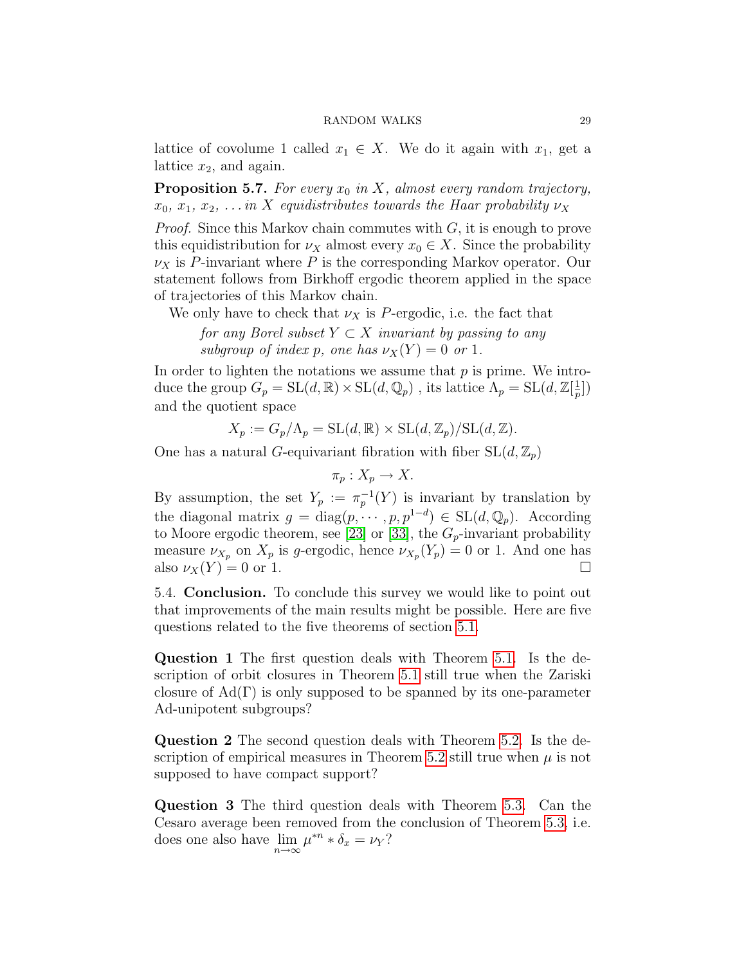lattice of covolume 1 called  $x_1 \in X$ . We do it again with  $x_1$ , get a lattice  $x_2$ , and again.

<span id="page-28-1"></span>**Proposition 5.7.** For every  $x_0$  in X, almost every random trajectory,  $x_0, x_1, x_2, \ldots$  in X equidistributes towards the Haar probability  $\nu_X$ 

*Proof.* Since this Markov chain commutes with  $G$ , it is enough to prove this equidistribution for  $\nu_X$  almost every  $x_0 \in X$ . Since the probability  $\nu_X$  is P-invariant where P is the corresponding Markov operator. Our statement follows from Birkhoff ergodic theorem applied in the space of trajectories of this Markov chain.

We only have to check that  $\nu_X$  is P-ergodic, i.e. the fact that

for any Borel subset  $Y \subset X$  invariant by passing to any subgroup of index p, one has  $\nu_X(Y) = 0$  or 1.

In order to lighten the notations we assume that  $p$  is prime. We introduce the group  $G_p = SL(d, \mathbb{R}) \times SL(d, \mathbb{Q}_p)$ , its lattice  $\Lambda_p = SL(d, \mathbb{Z}[\frac{1}{n}])$  $\frac{1}{p}$ ) and the quotient space

$$
X_p := G_p / \Lambda_p = \mathrm{SL}(d, \mathbb{R}) \times \mathrm{SL}(d, \mathbb{Z}_p) / \mathrm{SL}(d, \mathbb{Z}).
$$

One has a natural G-equivariant fibration with fiber  $SL(d, \mathbb{Z}_p)$ 

$$
\pi_p: X_p \to X.
$$

By assumption, the set  $Y_p := \pi_p^{-1}(Y)$  is invariant by translation by the diagonal matrix  $g = \text{diag}(p, \dots, p, p^{1-d}) \in SL(d, \mathbb{Q}_p)$ . According to Moore ergodic theorem, see [\[23\]](#page-30-14) or [\[33\]](#page-30-15), the  $G_p$ -invariant probability measure  $\nu_{X_p}$  on  $X_p$  is g-ergodic, hence  $\nu_{X_p}(Y_p) = 0$  or 1. And one has also  $\nu_X(Y) = 0$  or 1.

<span id="page-28-0"></span>5.4. Conclusion. To conclude this survey we would like to point out that improvements of the main results might be possible. Here are five questions related to the five theorems of section [5.1.](#page-25-1)

Question 1 The first question deals with Theorem [5.1.](#page-25-2) Is the description of orbit closures in Theorem [5.1](#page-25-2) still true when the Zariski closure of  $Ad(\Gamma)$  is only supposed to be spanned by its one-parameter Ad-unipotent subgroups?

Question 2 The second question deals with Theorem [5.2.](#page-25-3) Is the de-scription of empirical measures in Theorem [5.2](#page-25-3) still true when  $\mu$  is not supposed to have compact support?

Question 3 The third question deals with Theorem [5.3.](#page-26-1) Can the Cesaro average been removed from the conclusion of Theorem [5.3,](#page-26-1) i.e. does one also have  $\lim_{n \to \infty} \mu^{*n} * \delta_x = \nu_Y$ ?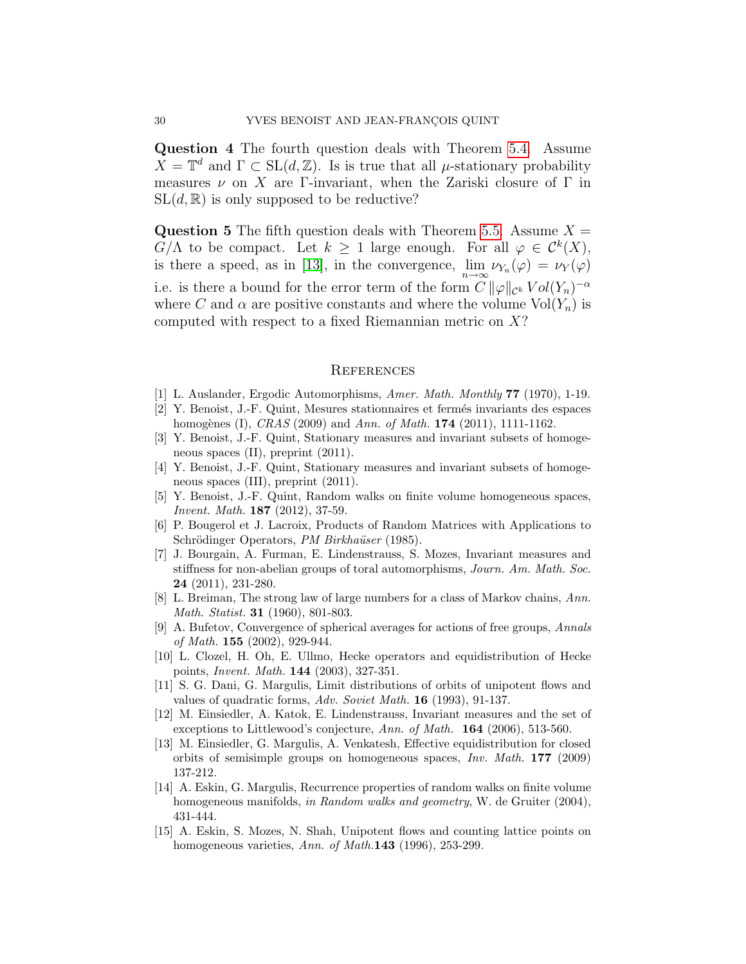Question 4 The fourth question deals with Theorem [5.4.](#page-26-2) Assume  $X = \mathbb{T}^d$  and  $\Gamma \subset SL(d, \mathbb{Z})$ . Is is true that all  $\mu$ -stationary probability measures  $\nu$  on X are Γ-invariant, when the Zariski closure of Γ in  $SL(d, \mathbb{R})$  is only supposed to be reductive?

**Question 5** The fifth question deals with Theorem [5.5.](#page-26-0) Assume  $X =$  $G/\Lambda$  to be compact. Let  $k \geq 1$  large enough. For all  $\varphi \in C^k(X)$ , is there a speed, as in [\[13\]](#page-29-13), in the convergence,  $\lim_{n\to\infty} \nu_{Y_n}(\varphi) = \nu_Y(\varphi)$ i.e. is there a bound for the error term of the form  $C \|\varphi\|_{\mathcal{C}^k} Vol(Y_n)^{-\alpha}$ where C and  $\alpha$  are positive constants and where the volume  $Vol(Y_n)$  is computed with respect to a fixed Riemannian metric on  $X$ ?

### **REFERENCES**

- <span id="page-29-0"></span>[1] L. Auslander, Ergodic Automorphisms, Amer. Math. Monthly 77 (1970), 1-19.
- <span id="page-29-2"></span>[2] Y. Benoist, J.-F. Quint, Mesures stationnaires et ferm´es invariants des espaces homogènes (I),  $CRAS$  (2009) and Ann. of Math. 174 (2011), 1111-1162.
- <span id="page-29-4"></span>[3] Y. Benoist, J.-F. Quint, Stationary measures and invariant subsets of homogeneous spaces (II), preprint (2011).
- <span id="page-29-3"></span>[4] Y. Benoist, J.-F. Quint, Stationary measures and invariant subsets of homogeneous spaces (III), preprint (2011).
- <span id="page-29-5"></span>[5] Y. Benoist, J.-F. Quint, Random walks on finite volume homogeneous spaces, Invent. Math. 187 (2012), 37-59.
- <span id="page-29-7"></span>[6] P. Bougerol et J. Lacroix, Products of Random Matrices with Applications to Schrödinger Operators, PM Birkhaüser (1985).
- <span id="page-29-1"></span>[7] J. Bourgain, A. Furman, E. Lindenstrauss, S. Mozes, Invariant measures and stiffness for non-abelian groups of toral automorphisms, Journ. Am. Math. Soc. 24 (2011), 231-280.
- <span id="page-29-8"></span>[8] L. Breiman, The strong law of large numbers for a class of Markov chains, Ann. Math. Statist. **31** (1960), 801-803.
- [9] A. Bufetov, Convergence of spherical averages for actions of free groups, Annals of Math. 155 (2002), 929-944.
- <span id="page-29-12"></span>[10] L. Clozel, H. Oh, E. Ullmo, Hecke operators and equidistribution of Hecke points, Invent. Math. 144 (2003), 327-351.
- <span id="page-29-6"></span>[11] S. G. Dani, G. Margulis, Limit distributions of orbits of unipotent flows and values of quadratic forms, Adv. Soviet Math. 16 (1993), 91-137.
- <span id="page-29-9"></span>[12] M. Einsiedler, A. Katok, E. Lindenstrauss, Invariant measures and the set of exceptions to Littlewood's conjecture, Ann. of Math. 164 (2006), 513-560.
- <span id="page-29-13"></span>[13] M. Einsiedler, G. Margulis, A. Venkatesh, Effective equidistribution for closed orbits of semisimple groups on homogeneous spaces, Inv. Math. 177 (2009) 137-212.
- <span id="page-29-10"></span>[14] A. Eskin, G. Margulis, Recurrence properties of random walks on finite volume homogeneous manifolds, in Random walks and geometry, W. de Gruiter (2004), 431-444.
- <span id="page-29-11"></span>[15] A. Eskin, S. Mozes, N. Shah, Unipotent flows and counting lattice points on homogeneous varieties, Ann. of Math.143 (1996), 253-299.